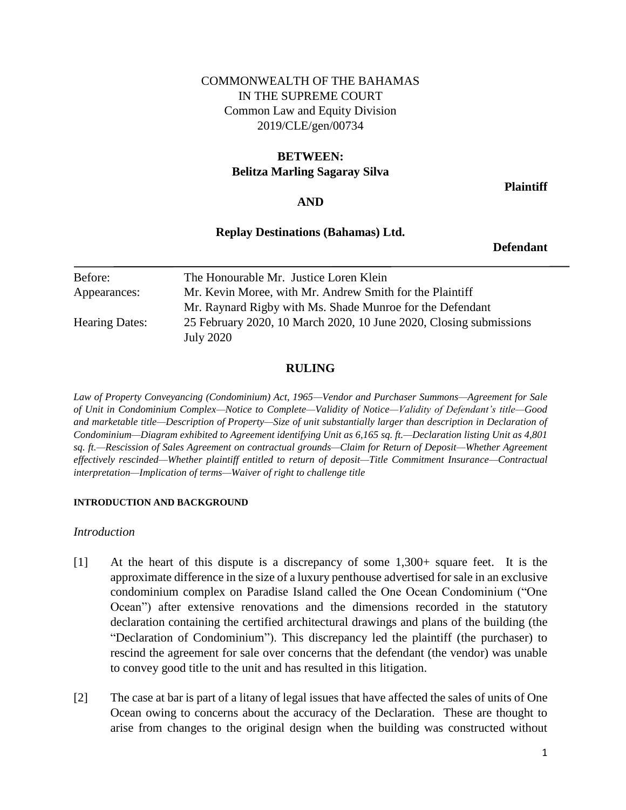# COMMONWEALTH OF THE BAHAMAS IN THE SUPREME COURT Common Law and Equity Division 2019/CLE/gen/00734

# **BETWEEN: Belitza Marling Sagaray Silva**

**Plaintiff**

## **AND**

## **Replay Destinations (Bahamas) Ltd.**

**Defendant**

| Before:               | The Honourable Mr. Justice Loren Klein                             |
|-----------------------|--------------------------------------------------------------------|
| Appearances:          | Mr. Kevin Moree, with Mr. Andrew Smith for the Plaintiff           |
|                       | Mr. Raynard Rigby with Ms. Shade Munroe for the Defendant          |
| <b>Hearing Dates:</b> | 25 February 2020, 10 March 2020, 10 June 2020, Closing submissions |
|                       | July 2020                                                          |

## **RULING**

*Law of Property Conveyancing (Condominium) Act, 1965—Vendor and Purchaser Summons—Agreement for Sale of Unit in Condominium Complex—Notice to Complete—Validity of Notice—Validity of Defendant's title—Good and marketable title—Description of Property—Size of unit substantially larger than description in Declaration of Condominium—Diagram exhibited to Agreement identifying Unit as 6,165 sq. ft.—Declaration listing Unit as 4,801 sq. ft.—Rescission of Sales Agreement on contractual grounds—Claim for Return of Deposit—Whether Agreement effectively rescinded—Whether plaintiff entitled to return of deposit—Title Commitment Insurance—Contractual interpretation—Implication of terms—Waiver of right to challenge title* 

### **INTRODUCTION AND BACKGROUND**

*Introduction* 

- [1] At the heart of this dispute is a discrepancy of some 1,300+ square feet. It is the approximate difference in the size of a luxury penthouse advertised for sale in an exclusive condominium complex on Paradise Island called the One Ocean Condominium ("One Ocean") after extensive renovations and the dimensions recorded in the statutory declaration containing the certified architectural drawings and plans of the building (the "Declaration of Condominium"). This discrepancy led the plaintiff (the purchaser) to rescind the agreement for sale over concerns that the defendant (the vendor) was unable to convey good title to the unit and has resulted in this litigation.
- [2] The case at bar is part of a litany of legal issues that have affected the sales of units of One Ocean owing to concerns about the accuracy of the Declaration. These are thought to arise from changes to the original design when the building was constructed without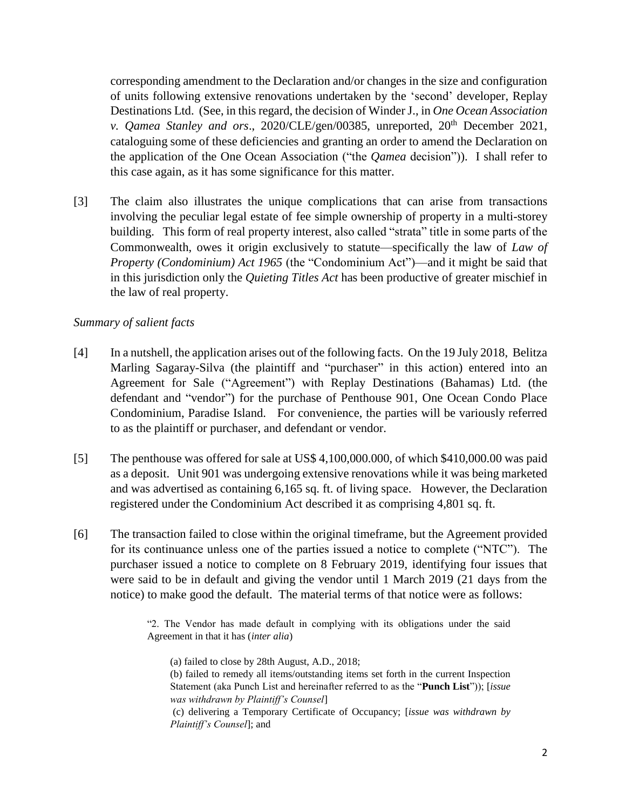corresponding amendment to the Declaration and/or changes in the size and configuration of units following extensive renovations undertaken by the 'second' developer, Replay Destinations Ltd. (See, in this regard, the decision of Winder J., in *One Ocean Association v. Qamea Stanley and ors.*, 2020/CLE/gen/00385, unreported, 20<sup>th</sup> December 2021, cataloguing some of these deficiencies and granting an order to amend the Declaration on the application of the One Ocean Association ("the *Qamea* decision")). I shall refer to this case again, as it has some significance for this matter.

[3] The claim also illustrates the unique complications that can arise from transactions involving the peculiar legal estate of fee simple ownership of property in a multi-storey building. This form of real property interest, also called "strata" title in some parts of the Commonwealth, owes it origin exclusively to statute—specifically the law of *Law of Property (Condominium) Act 1965* (the "Condominium Act")—and it might be said that in this jurisdiction only the *Quieting Titles Act* has been productive of greater mischief in the law of real property.

### *Summary of salient facts*

- [4] In a nutshell, the application arises out of the following facts. On the 19 July 2018, Belitza Marling Sagaray-Silva (the plaintiff and "purchaser" in this action) entered into an Agreement for Sale ("Agreement") with Replay Destinations (Bahamas) Ltd. (the defendant and "vendor") for the purchase of Penthouse 901, One Ocean Condo Place Condominium, Paradise Island. For convenience, the parties will be variously referred to as the plaintiff or purchaser, and defendant or vendor.
- [5] The penthouse was offered for sale at US\$ 4,100,000.000, of which \$410,000.00 was paid as a deposit. Unit 901 was undergoing extensive renovations while it was being marketed and was advertised as containing 6,165 sq. ft. of living space. However, the Declaration registered under the Condominium Act described it as comprising 4,801 sq. ft.
- [6] The transaction failed to close within the original timeframe, but the Agreement provided for its continuance unless one of the parties issued a notice to complete ("NTC"). The purchaser issued a notice to complete on 8 February 2019, identifying four issues that were said to be in default and giving the vendor until 1 March 2019 (21 days from the notice) to make good the default. The material terms of that notice were as follows:

"2. The Vendor has made default in complying with its obligations under the said Agreement in that it has (*inter alia*)

(a) failed to close by 28th August, A.D., 2018;

(b) failed to remedy all items/outstanding items set forth in the current Inspection Statement (aka Punch List and hereinafter referred to as the "**Punch List**")); [*issue was withdrawn by Plaintiff's Counsel*]

(c) delivering a Temporary Certificate of Occupancy; [*issue was withdrawn by Plaintiff's Counsel*]; and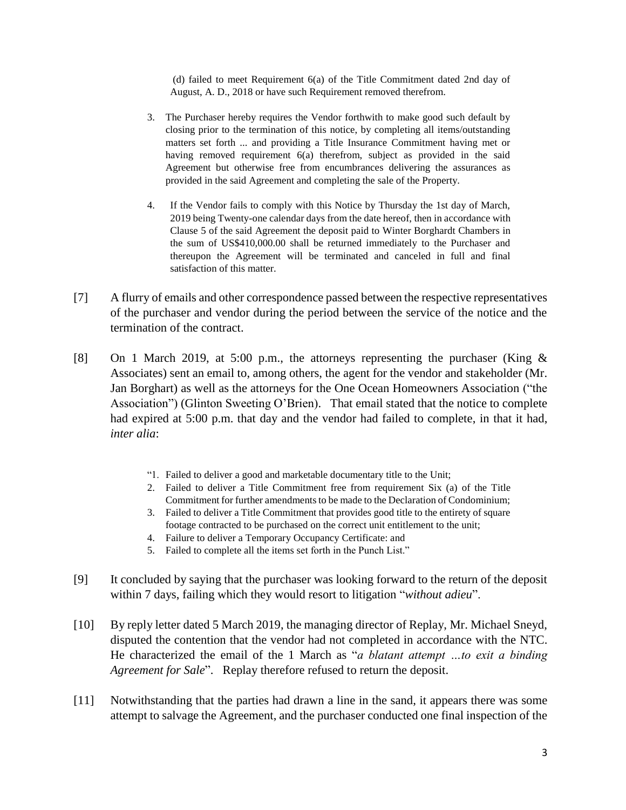(d) failed to meet Requirement 6(a) of the Title Commitment dated 2nd day of August, A. D., 2018 or have such Requirement removed therefrom.

- 3. The Purchaser hereby requires the Vendor forthwith to make good such default by closing prior to the termination of this notice, by completing all items/outstanding matters set forth ... and providing a Title Insurance Commitment having met or having removed requirement 6(a) therefrom, subject as provided in the said Agreement but otherwise free from encumbrances delivering the assurances as provided in the said Agreement and completing the sale of the Property.
- 4. If the Vendor fails to comply with this Notice by Thursday the 1st day of March, 2019 being Twenty-one calendar days from the date hereof, then in accordance with Clause 5 of the said Agreement the deposit paid to Winter Borghardt Chambers in the sum of US\$410,000.00 shall be returned immediately to the Purchaser and thereupon the Agreement will be terminated and canceled in full and final satisfaction of this matter.
- [7] A flurry of emails and other correspondence passed between the respective representatives of the purchaser and vendor during the period between the service of the notice and the termination of the contract.
- [8] On 1 March 2019, at 5:00 p.m., the attorneys representing the purchaser (King & Associates) sent an email to, among others, the agent for the vendor and stakeholder (Mr. Jan Borghart) as well as the attorneys for the One Ocean Homeowners Association ("the Association") (Glinton Sweeting O'Brien). That email stated that the notice to complete had expired at 5:00 p.m. that day and the vendor had failed to complete, in that it had, *inter alia*:
	- "1. Failed to deliver a good and marketable documentary title to the Unit;
	- 2. Failed to deliver a Title Commitment free from requirement Six (a) of the Title Commitment for further amendments to be made to the Declaration of Condominium;
	- 3. Failed to deliver a Title Commitment that provides good title to the entirety of square footage contracted to be purchased on the correct unit entitlement to the unit;
	- 4. Failure to deliver a Temporary Occupancy Certificate: and
	- 5. Failed to complete all the items set forth in the Punch List."
- [9] It concluded by saying that the purchaser was looking forward to the return of the deposit within 7 days, failing which they would resort to litigation "*without adieu*".
- [10] By reply letter dated 5 March 2019, the managing director of Replay, Mr. Michael Sneyd, disputed the contention that the vendor had not completed in accordance with the NTC. He characterized the email of the 1 March as "*a blatant attempt …to exit a binding Agreement for Sale*". Replay therefore refused to return the deposit.
- [11] Notwithstanding that the parties had drawn a line in the sand, it appears there was some attempt to salvage the Agreement, and the purchaser conducted one final inspection of the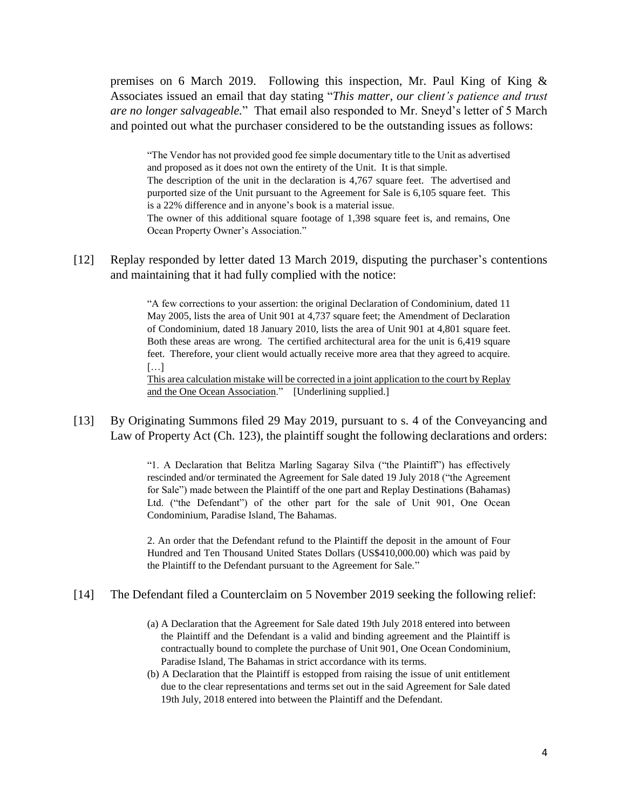premises on 6 March 2019. Following this inspection, Mr. Paul King of King & Associates issued an email that day stating "*This matter, our client's patience and trust are no longer salvageable.*" That email also responded to Mr. Sneyd's letter of 5 March and pointed out what the purchaser considered to be the outstanding issues as follows:

"The Vendor has not provided good fee simple documentary title to the Unit as advertised and proposed as it does not own the entirety of the Unit. It is that simple. The description of the unit in the declaration is 4,767 square feet. The advertised and purported size of the Unit pursuant to the Agreement for Sale is 6,105 square feet. This is a 22% difference and in anyone's book is a material issue. The owner of this additional square footage of 1,398 square feet is, and remains, One Ocean Property Owner's Association."

[12] Replay responded by letter dated 13 March 2019, disputing the purchaser's contentions and maintaining that it had fully complied with the notice:

> "A few corrections to your assertion: the original Declaration of Condominium, dated 11 May 2005, lists the area of Unit 901 at 4,737 square feet; the Amendment of Declaration of Condominium, dated 18 January 2010, lists the area of Unit 901 at 4,801 square feet. Both these areas are wrong. The certified architectural area for the unit is 6,419 square feet. Therefore, your client would actually receive more area that they agreed to acquire. […]

> This area calculation mistake will be corrected in a joint application to the court by Replay and the One Ocean Association." [Underlining supplied.]

[13] By Originating Summons filed 29 May 2019, pursuant to s. 4 of the Conveyancing and Law of Property Act (Ch. 123), the plaintiff sought the following declarations and orders:

> "1. A Declaration that Belitza Marling Sagaray Silva ("the Plaintiff") has effectively rescinded and/or terminated the Agreement for Sale dated 19 July 2018 ("the Agreement for Sale") made between the Plaintiff of the one part and Replay Destinations (Bahamas) Ltd. ("the Defendant") of the other part for the sale of Unit 901, One Ocean Condominium, Paradise Island, The Bahamas.

> 2. An order that the Defendant refund to the Plaintiff the deposit in the amount of Four Hundred and Ten Thousand United States Dollars (US\$410,000.00) which was paid by the Plaintiff to the Defendant pursuant to the Agreement for Sale."

[14] The Defendant filed a Counterclaim on 5 November 2019 seeking the following relief:

- (a) A Declaration that the Agreement for Sale dated 19th July 2018 entered into between the Plaintiff and the Defendant is a valid and binding agreement and the Plaintiff is contractually bound to complete the purchase of Unit 901, One Ocean Condominium, Paradise Island, The Bahamas in strict accordance with its terms.
- (b) A Declaration that the Plaintiff is estopped from raising the issue of unit entitlement due to the clear representations and terms set out in the said Agreement for Sale dated 19th July, 2018 entered into between the Plaintiff and the Defendant.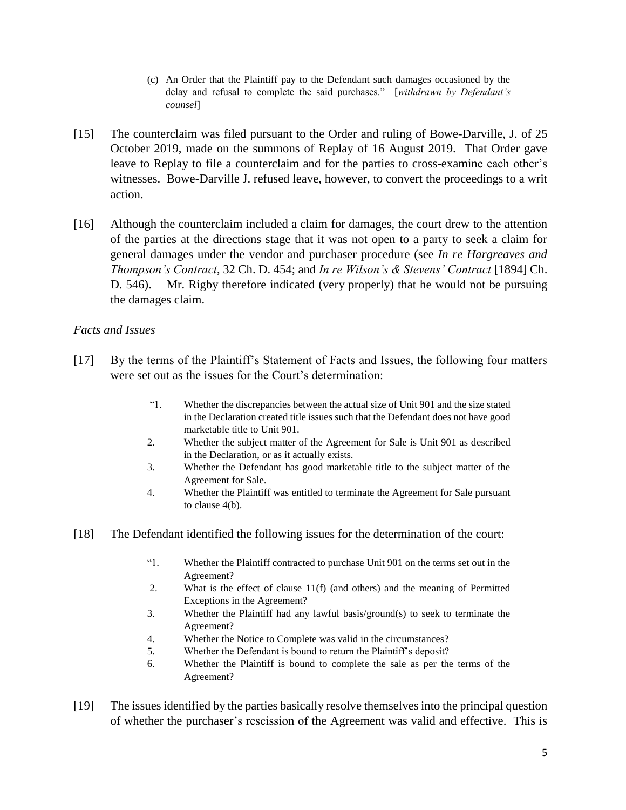- (c) An Order that the Plaintiff pay to the Defendant such damages occasioned by the delay and refusal to complete the said purchases." [*withdrawn by Defendant's counsel*]
- [15] The counterclaim was filed pursuant to the Order and ruling of Bowe-Darville, J. of 25 October 2019, made on the summons of Replay of 16 August 2019. That Order gave leave to Replay to file a counterclaim and for the parties to cross-examine each other's witnesses. Bowe-Darville J. refused leave, however, to convert the proceedings to a writ action.
- [16] Although the counterclaim included a claim for damages, the court drew to the attention of the parties at the directions stage that it was not open to a party to seek a claim for general damages under the vendor and purchaser procedure (see *In re Hargreaves and Thompson's Contract*, 32 Ch. D. 454; and *In re Wilson's & Stevens' Contract* [1894] Ch. D. 546). Mr. Rigby therefore indicated (very properly) that he would not be pursuing the damages claim.

## *Facts and Issues*

- [17] By the terms of the Plaintiff's Statement of Facts and Issues, the following four matters were set out as the issues for the Court's determination:
	- "1. Whether the discrepancies between the actual size of Unit 901 and the size stated in the Declaration created title issues such that the Defendant does not have good marketable title to Unit 901.
	- 2. Whether the subject matter of the Agreement for Sale is Unit 901 as described in the Declaration, or as it actually exists.
	- 3. Whether the Defendant has good marketable title to the subject matter of the Agreement for Sale.
	- 4. Whether the Plaintiff was entitled to terminate the Agreement for Sale pursuant to clause 4(b).
- [18] The Defendant identified the following issues for the determination of the court:
	- "1. Whether the Plaintiff contracted to purchase Unit 901 on the terms set out in the Agreement?
	- 2. What is the effect of clause 11(f) (and others) and the meaning of Permitted Exceptions in the Agreement?
	- 3. Whether the Plaintiff had any lawful basis/ground(s) to seek to terminate the Agreement?
	- 4. Whether the Notice to Complete was valid in the circumstances?
	- 5. Whether the Defendant is bound to return the Plaintiff's deposit?
	- 6. Whether the Plaintiff is bound to complete the sale as per the terms of the Agreement?
- [19] The issues identified by the parties basically resolve themselves into the principal question of whether the purchaser's rescission of the Agreement was valid and effective. This is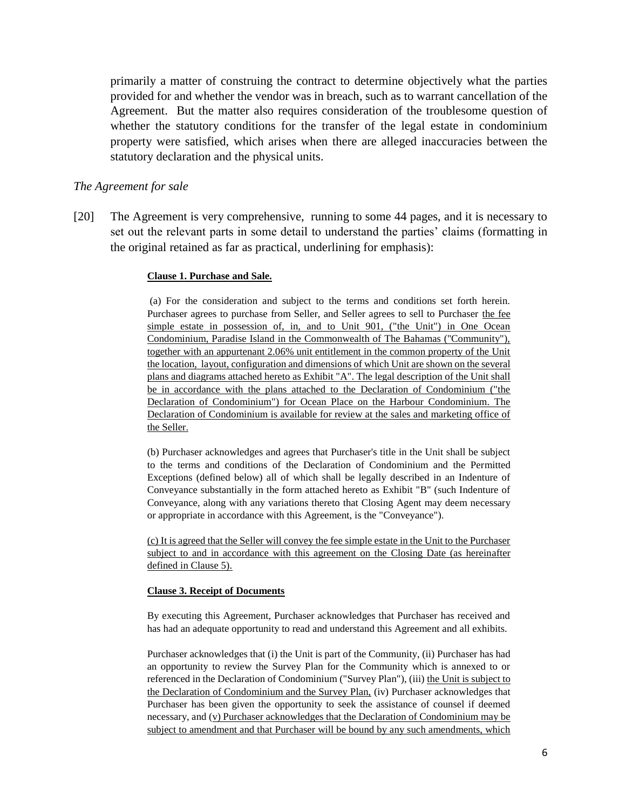primarily a matter of construing the contract to determine objectively what the parties provided for and whether the vendor was in breach, such as to warrant cancellation of the Agreement. But the matter also requires consideration of the troublesome question of whether the statutory conditions for the transfer of the legal estate in condominium property were satisfied, which arises when there are alleged inaccuracies between the statutory declaration and the physical units.

### *The Agreement for sale*

[20] The Agreement is very comprehensive, running to some 44 pages, and it is necessary to set out the relevant parts in some detail to understand the parties' claims (formatting in the original retained as far as practical, underlining for emphasis):

#### **Clause 1. Purchase and Sale.**

(a) For the consideration and subject to the terms and conditions set forth herein. Purchaser agrees to purchase from Seller, and Seller agrees to sell to Purchaser the fee simple estate in possession of, in, and to Unit 901, ("the Unit") in One Ocean Condominium, Paradise Island in the Commonwealth of The Bahamas (''Community"), together with an appurtenant 2.06% unit entitlement in the common property of the Unit the location, layout, configuration and dimensions of which Unit are shown on the several plans and diagrams attached hereto as Exhibit "A". The legal description of the Unit shall be in accordance with the plans attached to the Declaration of Condominium ("the Declaration of Condominium") for Ocean Place on the Harbour Condominium. The Declaration of Condominium is available for review at the sales and marketing office of the Seller.

(b) Purchaser acknowledges and agrees that Purchaser's title in the Unit shall be subject to the terms and conditions of the Declaration of Condominium and the Permitted Exceptions (defined below) all of which shall be legally described in an Indenture of Conveyance substantially in the form attached hereto as Exhibit "B" (such Indenture of Conveyance, along with any variations thereto that Closing Agent may deem necessary or appropriate in accordance with this Agreement, is the "Conveyance").

(c) It is agreed that the Seller will convey the fee simple estate in the Unit to the Purchaser subject to and in accordance with this agreement on the Closing Date (as hereinafter defined in Clause 5).

#### **Clause 3. Receipt of Documents**

By executing this Agreement, Purchaser acknowledges that Purchaser has received and has had an adequate opportunity to read and understand this Agreement and all exhibits.

Purchaser acknowledges that (i) the Unit is part of the Community, (ii) Purchaser has had an opportunity to review the Survey Plan for the Community which is annexed to or referenced in the Declaration of Condominium ("Survey Plan"), (iii) the Unit is subject to the Declaration of Condominium and the Survey Plan, (iv) Purchaser acknowledges that Purchaser has been given the opportunity to seek the assistance of counsel if deemed necessary, and (v) Purchaser acknowledges that the Declaration of Condominium may be subject to amendment and that Purchaser will be bound by any such amendments, which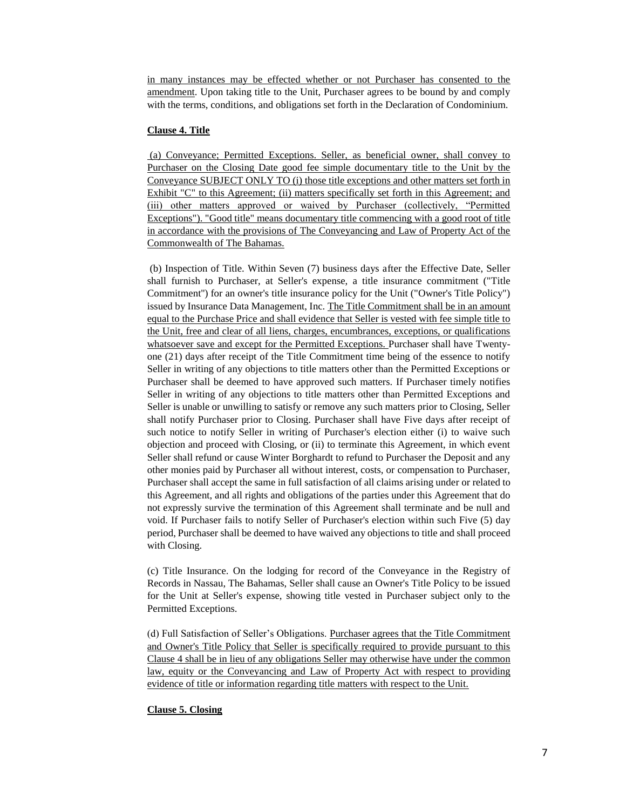in many instances may be effected whether or not Purchaser has consented to the amendment. Upon taking title to the Unit, Purchaser agrees to be bound by and comply with the terms, conditions, and obligations set forth in the Declaration of Condominium.

#### **Clause 4. Title**

(a) Conveyance; Permitted Exceptions. Seller, as beneficial owner, shall convey to Purchaser on the Closing Date good fee simple documentary title to the Unit by the Conveyance SUBJECT ONLY TO (i) those title exceptions and other matters set forth in Exhibit "C" to this Agreement; (ii) matters specifically set forth in this Agreement; and (iii) other matters approved or waived by Purchaser (collectively, "Permitted Exceptions"). "Good title" means documentary title commencing with a good root of title in accordance with the provisions of The Conveyancing and Law of Property Act of the Commonwealth of The Bahamas.

(b) Inspection of Title. Within Seven (7) business days after the Effective Date, Seller shall furnish to Purchaser, at Seller's expense, a title insurance commitment ("Title Commitment'') for an owner's title insurance policy for the Unit ("Owner's Title Policy") issued by Insurance Data Management, Inc. The Title Commitment shall be in an amount equal to the Purchase Price and shall evidence that Seller is vested with fee simple title to the Unit, free and clear of all liens, charges, encumbrances, exceptions, or qualifications whatsoever save and except for the Permitted Exceptions. Purchaser shall have Twentyone (21) days after receipt of the Title Commitment time being of the essence to notify Seller in writing of any objections to title matters other than the Permitted Exceptions or Purchaser shall be deemed to have approved such matters. If Purchaser timely notifies Seller in writing of any objections to title matters other than Permitted Exceptions and Seller is unable or unwilling to satisfy or remove any such matters prior to Closing, Seller shall notify Purchaser prior to Closing. Purchaser shall have Five days after receipt of such notice to notify Seller in writing of Purchaser's election either (i) to waive such objection and proceed with Closing, or (ii) to terminate this Agreement, in which event Seller shall refund or cause Winter Borghardt to refund to Purchaser the Deposit and any other monies paid by Purchaser all without interest, costs, or compensation to Purchaser, Purchaser shall accept the same in full satisfaction of all claims arising under or related to this Agreement, and all rights and obligations of the parties under this Agreement that do not expressly survive the termination of this Agreement shall terminate and be null and void. If Purchaser fails to notify Seller of Purchaser's election within such Five (5) day period, Purchaser shall be deemed to have waived any objections to title and shall proceed with Closing.

(c) Title Insurance. On the lodging for record of the Conveyance in the Registry of Records in Nassau, The Bahamas, Seller shall cause an Owner's Title Policy to be issued for the Unit at Seller's expense, showing title vested in Purchaser subject only to the Permitted Exceptions.

(d) Full Satisfaction of Seller's Obligations. Purchaser agrees that the Title Commitment and Owner's Title Policy that Seller is specifically required to provide pursuant to this Clause 4 shall be in lieu of any obligations Seller may otherwise have under the common law, equity or the Conveyancing and Law of Property Act with respect to providing evidence of title or information regarding title matters with respect to the Unit.

#### **Clause 5. Closing**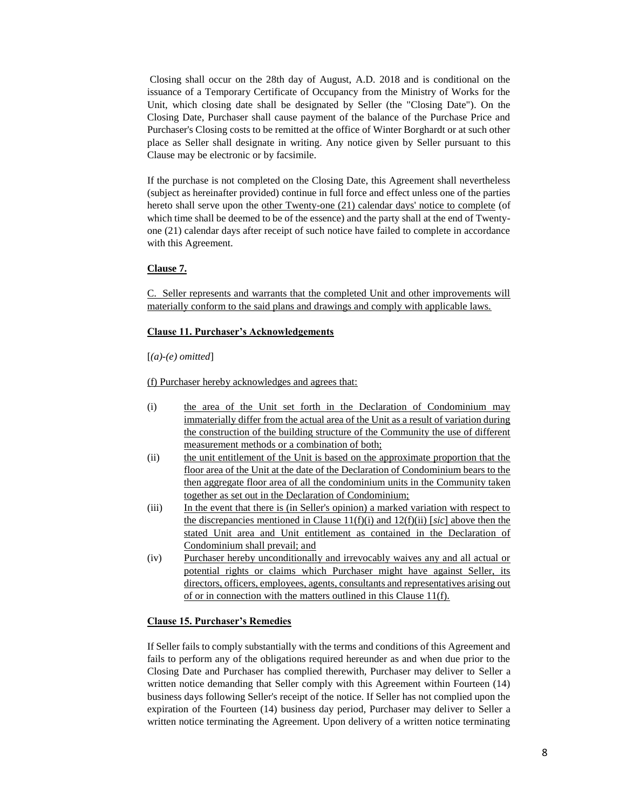Closing shall occur on the 28th day of August, A.D. 2018 and is conditional on the issuance of a Temporary Certificate of Occupancy from the Ministry of Works for the Unit, which closing date shall be designated by Seller (the "Closing Date"). On the Closing Date, Purchaser shall cause payment of the balance of the Purchase Price and Purchaser's Closing costs to be remitted at the office of Winter Borghardt or at such other place as Seller shall designate in writing. Any notice given by Seller pursuant to this Clause may be electronic or by facsimile.

If the purchase is not completed on the Closing Date, this Agreement shall nevertheless (subject as hereinafter provided) continue in full force and effect unless one of the parties hereto shall serve upon the other Twenty-one (21) calendar days' notice to complete (of which time shall be deemed to be of the essence) and the party shall at the end of Twentyone (21) calendar days after receipt of such notice have failed to complete in accordance with this Agreement.

#### **Clause 7.**

C. Seller represents and warrants that the completed Unit and other improvements will materially conform to the said plans and drawings and comply with applicable laws.

#### **Clause 11. Purchaser's Acknowledgements**

[*(a)-(e) omitted*]

(f) Purchaser hereby acknowledges and agrees that:

- (i) the area of the Unit set forth in the Declaration of Condominium may immaterially differ from the actual area of the Unit as a result of variation during the construction of the building structure of the Community the use of different measurement methods or a combination of both;
- (ii) the unit entitlement of the Unit is based on the approximate proportion that the floor area of the Unit at the date of the Declaration of Condominium bears to the then aggregate floor area of all the condominium units in the Community taken together as set out in the Declaration of Condominium;
- (iii) In the event that there is (in Seller's opinion) a marked variation with respect to the discrepancies mentioned in Clause 11(f)(i) and 12(f)(ii) [*sic*] above then the stated Unit area and Unit entitlement as contained in the Declaration of Condominium shall prevail; and
- (iv) Purchaser hereby unconditionally and irrevocably waives any and all actual or potential rights or claims which Purchaser might have against Seller, its directors, officers, employees, agents, consultants and representatives arising out of or in connection with the matters outlined in this Clause 11(f).

#### **Clause 15. Purchaser's Remedies**

If Seller fails to comply substantially with the terms and conditions of this Agreement and fails to perform any of the obligations required hereunder as and when due prior to the Closing Date and Purchaser has complied therewith, Purchaser may deliver to Seller a written notice demanding that Seller comply with this Agreement within Fourteen (14) business days following Seller's receipt of the notice. If Seller has not complied upon the expiration of the Fourteen (14) business day period, Purchaser may deliver to Seller a written notice terminating the Agreement. Upon delivery of a written notice terminating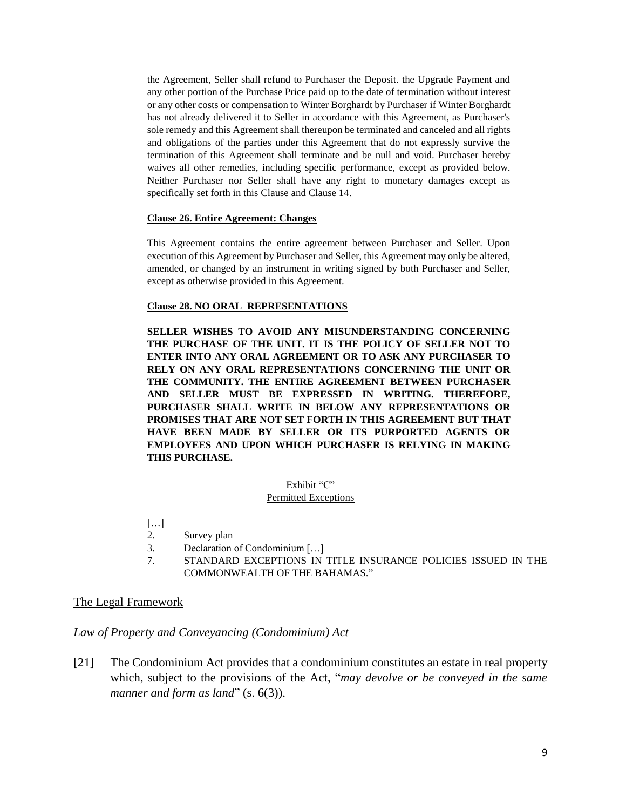the Agreement, Seller shall refund to Purchaser the Deposit. the Upgrade Payment and any other portion of the Purchase Price paid up to the date of termination without interest or any other costs or compensation to Winter Borghardt by Purchaser if Winter Borghardt has not already delivered it to Seller in accordance with this Agreement, as Purchaser's sole remedy and this Agreement shall thereupon be terminated and canceled and all rights and obligations of the parties under this Agreement that do not expressly survive the termination of this Agreement shall terminate and be null and void. Purchaser hereby waives all other remedies, including specific performance, except as provided below. Neither Purchaser nor Seller shall have any right to monetary damages except as specifically set forth in this Clause and Clause 14.

#### **Clause 26. Entire Agreement: Changes**

This Agreement contains the entire agreement between Purchaser and Seller. Upon execution of this Agreement by Purchaser and Seller, this Agreement may only be altered, amended, or changed by an instrument in writing signed by both Purchaser and Seller, except as otherwise provided in this Agreement.

#### **Clause 28. NO ORAL REPRESENTATIONS**

**SELLER WISHES TO AVOID ANY MISUNDERSTANDING CONCERNING THE PURCHASE OF THE UNIT. IT IS THE POLICY OF SELLER NOT TO ENTER INTO ANY ORAL AGREEMENT OR TO ASK ANY PURCHASER TO RELY ON ANY ORAL REPRESENTATIONS CONCERNING THE UNIT OR THE COMMUNITY. THE ENTIRE AGREEMENT BETWEEN PURCHASER AND SELLER MUST BE EXPRESSED IN WRITING. THEREFORE, PURCHASER SHALL WRITE IN BELOW ANY REPRESENTATIONS OR PROMISES THAT ARE NOT SET FORTH IN THIS AGREEMENT BUT THAT HAVE BEEN MADE BY SELLER OR ITS PURPORTED AGENTS OR EMPLOYEES AND UPON WHICH PURCHASER IS RELYING IN MAKING THIS PURCHASE.**

#### Exhibit "C"

#### Permitted Exceptions

- […]
- 2. Survey plan
- 3. Declaration of Condominium […]
- 7. STANDARD EXCEPTIONS IN TITLE INSURANCE POLICIES ISSUED IN THE COMMONWEALTH OF THE BAHAMAS."

#### The Legal Framework

### *Law of Property and Conveyancing (Condominium) Act*

[21] The Condominium Act provides that a condominium constitutes an estate in real property which, subject to the provisions of the Act, "*may devolve or be conveyed in the same manner and form as land*" (s. 6(3)).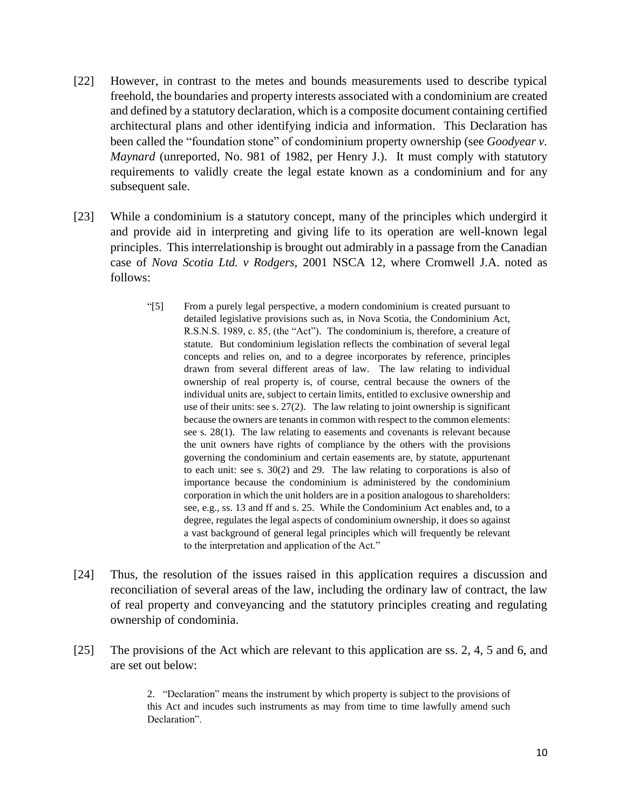- [22] However, in contrast to the metes and bounds measurements used to describe typical freehold, the boundaries and property interests associated with a condominium are created and defined by a statutory declaration, which is a composite document containing certified architectural plans and other identifying indicia and information. This Declaration has been called the "foundation stone" of condominium property ownership (see *Goodyear v. Maynard* (unreported, No. 981 of 1982, per Henry J.). It must comply with statutory requirements to validly create the legal estate known as a condominium and for any subsequent sale.
- [23] While a condominium is a statutory concept, many of the principles which undergird it and provide aid in interpreting and giving life to its operation are well-known legal principles. This interrelationship is brought out admirably in a passage from the Canadian case of *Nova Scotia Ltd. v Rodgers,* 2001 NSCA 12, where Cromwell J.A. noted as follows:
	- "[5] From a purely legal perspective, a modern condominium is created pursuant to detailed legislative provisions such as, in Nova Scotia, the Condominium Act, R.S.N.S. 1989, c. 85, (the "Act"). The condominium is, therefore, a creature of statute. But condominium legislation reflects the combination of several legal concepts and relies on, and to a degree incorporates by reference, principles drawn from several different areas of law. The law relating to individual ownership of real property is, of course, central because the owners of the individual units are, subject to certain limits, entitled to exclusive ownership and use of their units: see s. 27(2). The law relating to joint ownership is significant because the owners are tenants in common with respect to the common elements: see s. 28(1). The law relating to easements and covenants is relevant because the unit owners have rights of compliance by the others with the provisions governing the condominium and certain easements are, by statute, appurtenant to each unit: see s. 30(2) and 29. The law relating to corporations is also of importance because the condominium is administered by the condominium corporation in which the unit holders are in a position analogous to shareholders: see, e.g., ss. 13 and ff and s. 25. While the Condominium Act enables and, to a degree, regulates the legal aspects of condominium ownership, it does so against a vast background of general legal principles which will frequently be relevant to the interpretation and application of the Act."
- [24] Thus, the resolution of the issues raised in this application requires a discussion and reconciliation of several areas of the law, including the ordinary law of contract, the law of real property and conveyancing and the statutory principles creating and regulating ownership of condominia.
- [25] The provisions of the Act which are relevant to this application are ss. 2, 4, 5 and 6, and are set out below:

2. "Declaration" means the instrument by which property is subject to the provisions of this Act and incudes such instruments as may from time to time lawfully amend such Declaration".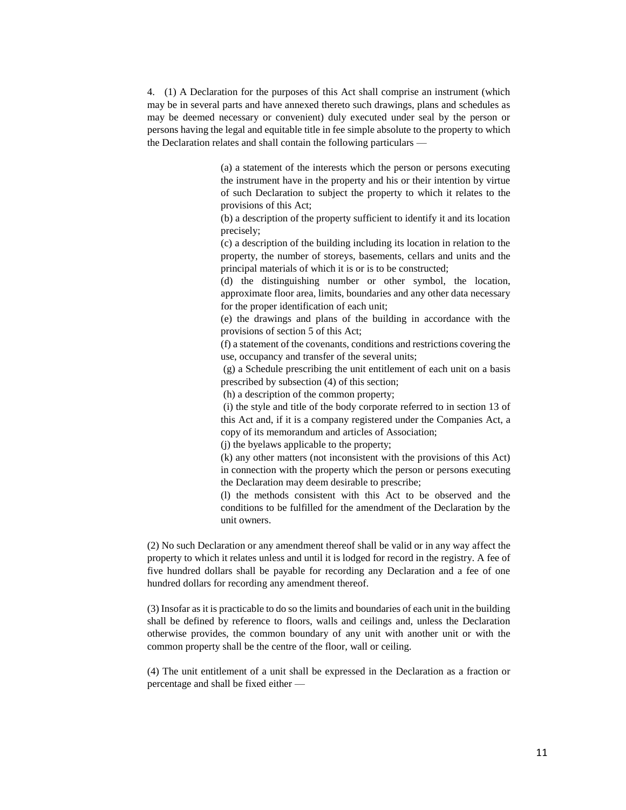4. (1) A Declaration for the purposes of this Act shall comprise an instrument (which may be in several parts and have annexed thereto such drawings, plans and schedules as may be deemed necessary or convenient) duly executed under seal by the person or persons having the legal and equitable title in fee simple absolute to the property to which the Declaration relates and shall contain the following particulars —

> (a) a statement of the interests which the person or persons executing the instrument have in the property and his or their intention by virtue of such Declaration to subject the property to which it relates to the provisions of this Act;

> (b) a description of the property sufficient to identify it and its location precisely;

> (c) a description of the building including its location in relation to the property, the number of storeys, basements, cellars and units and the principal materials of which it is or is to be constructed;

> (d) the distinguishing number or other symbol, the location, approximate floor area, limits, boundaries and any other data necessary for the proper identification of each unit;

> (e) the drawings and plans of the building in accordance with the provisions of section 5 of this Act;

> (f) a statement of the covenants, conditions and restrictions covering the use, occupancy and transfer of the several units;

> (g) a Schedule prescribing the unit entitlement of each unit on a basis prescribed by subsection (4) of this section;

(h) a description of the common property;

(i) the style and title of the body corporate referred to in section 13 of this Act and, if it is a company registered under the Companies Act, a copy of its memorandum and articles of Association;

(j) the byelaws applicable to the property;

(k) any other matters (not inconsistent with the provisions of this Act) in connection with the property which the person or persons executing the Declaration may deem desirable to prescribe;

(l) the methods consistent with this Act to be observed and the conditions to be fulfilled for the amendment of the Declaration by the unit owners.

(2) No such Declaration or any amendment thereof shall be valid or in any way affect the property to which it relates unless and until it is lodged for record in the registry. A fee of five hundred dollars shall be payable for recording any Declaration and a fee of one hundred dollars for recording any amendment thereof.

(3) Insofar as it is practicable to do so the limits and boundaries of each unit in the building shall be defined by reference to floors, walls and ceilings and, unless the Declaration otherwise provides, the common boundary of any unit with another unit or with the common property shall be the centre of the floor, wall or ceiling.

(4) The unit entitlement of a unit shall be expressed in the Declaration as a fraction or percentage and shall be fixed either —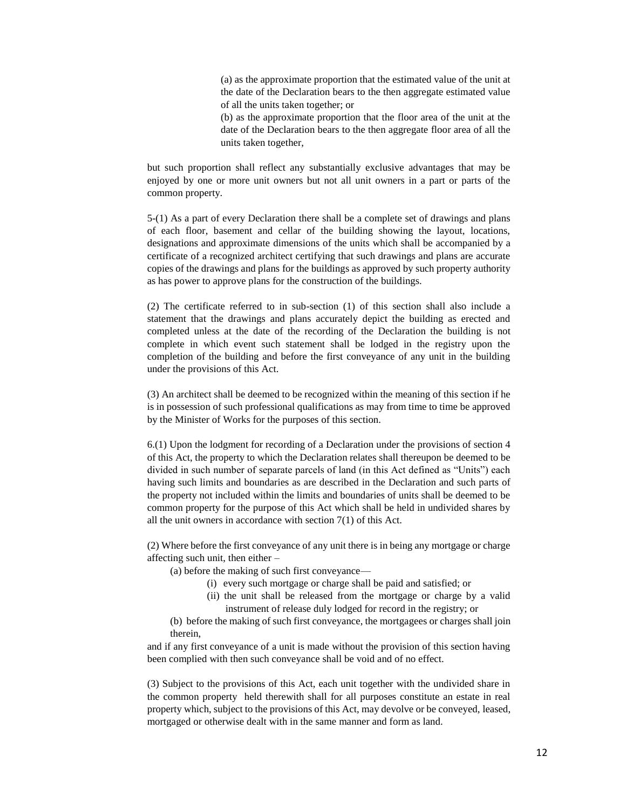(a) as the approximate proportion that the estimated value of the unit at the date of the Declaration bears to the then aggregate estimated value of all the units taken together; or

(b) as the approximate proportion that the floor area of the unit at the date of the Declaration bears to the then aggregate floor area of all the units taken together,

but such proportion shall reflect any substantially exclusive advantages that may be enjoyed by one or more unit owners but not all unit owners in a part or parts of the common property.

5-(1) As a part of every Declaration there shall be a complete set of drawings and plans of each floor, basement and cellar of the building showing the layout, locations, designations and approximate dimensions of the units which shall be accompanied by a certificate of a recognized architect certifying that such drawings and plans are accurate copies of the drawings and plans for the buildings as approved by such property authority as has power to approve plans for the construction of the buildings.

(2) The certificate referred to in sub-section (1) of this section shall also include a statement that the drawings and plans accurately depict the building as erected and completed unless at the date of the recording of the Declaration the building is not complete in which event such statement shall be lodged in the registry upon the completion of the building and before the first conveyance of any unit in the building under the provisions of this Act.

(3) An architect shall be deemed to be recognized within the meaning of this section if he is in possession of such professional qualifications as may from time to time be approved by the Minister of Works for the purposes of this section.

6.(1) Upon the lodgment for recording of a Declaration under the provisions of section 4 of this Act, the property to which the Declaration relates shall thereupon be deemed to be divided in such number of separate parcels of land (in this Act defined as "Units") each having such limits and boundaries as are described in the Declaration and such parts of the property not included within the limits and boundaries of units shall be deemed to be common property for the purpose of this Act which shall be held in undivided shares by all the unit owners in accordance with section 7(1) of this Act.

(2) Where before the first conveyance of any unit there is in being any mortgage or charge affecting such unit, then either –

- (a) before the making of such first conveyance—
	- (i) every such mortgage or charge shall be paid and satisfied; or
	- (ii) the unit shall be released from the mortgage or charge by a valid instrument of release duly lodged for record in the registry; or

(b) before the making of such first conveyance, the mortgagees or charges shall join therein,

and if any first conveyance of a unit is made without the provision of this section having been complied with then such conveyance shall be void and of no effect.

(3) Subject to the provisions of this Act, each unit together with the undivided share in the common property held therewith shall for all purposes constitute an estate in real property which, subject to the provisions of this Act, may devolve or be conveyed, leased, mortgaged or otherwise dealt with in the same manner and form as land.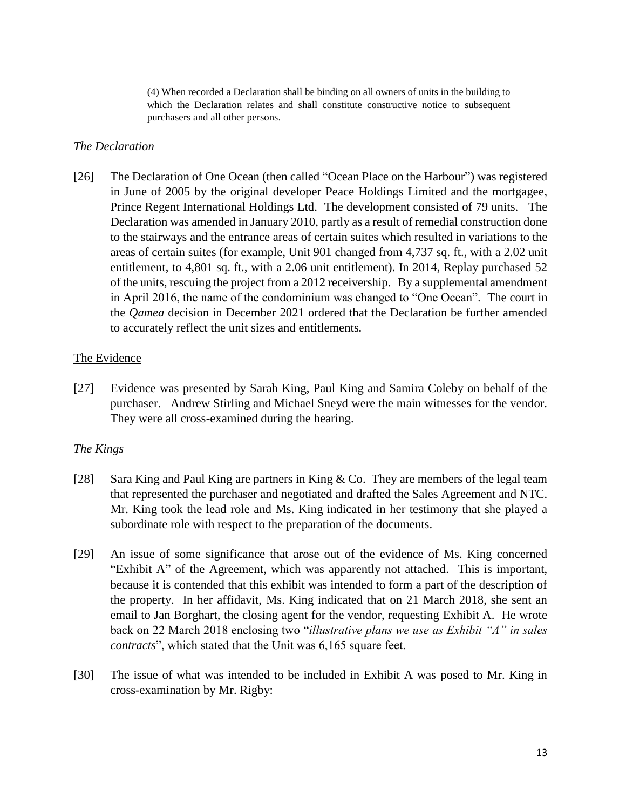(4) When recorded a Declaration shall be binding on all owners of units in the building to which the Declaration relates and shall constitute constructive notice to subsequent purchasers and all other persons.

## *The Declaration*

[26] The Declaration of One Ocean (then called "Ocean Place on the Harbour") was registered in June of 2005 by the original developer Peace Holdings Limited and the mortgagee, Prince Regent International Holdings Ltd. The development consisted of 79 units. The Declaration was amended in January 2010, partly as a result of remedial construction done to the stairways and the entrance areas of certain suites which resulted in variations to the areas of certain suites (for example, Unit 901 changed from 4,737 sq. ft., with a 2.02 unit entitlement, to 4,801 sq. ft., with a 2.06 unit entitlement). In 2014, Replay purchased 52 of the units, rescuing the project from a 2012 receivership. By a supplemental amendment in April 2016, the name of the condominium was changed to "One Ocean". The court in the *Qamea* decision in December 2021 ordered that the Declaration be further amended to accurately reflect the unit sizes and entitlements.

## The Evidence

[27] Evidence was presented by Sarah King, Paul King and Samira Coleby on behalf of the purchaser. Andrew Stirling and Michael Sneyd were the main witnesses for the vendor. They were all cross-examined during the hearing.

# *The Kings*

- [28] Sara King and Paul King are partners in King & Co. They are members of the legal team that represented the purchaser and negotiated and drafted the Sales Agreement and NTC. Mr. King took the lead role and Ms. King indicated in her testimony that she played a subordinate role with respect to the preparation of the documents.
- [29] An issue of some significance that arose out of the evidence of Ms. King concerned "Exhibit A" of the Agreement, which was apparently not attached. This is important, because it is contended that this exhibit was intended to form a part of the description of the property. In her affidavit, Ms. King indicated that on 21 March 2018, she sent an email to Jan Borghart, the closing agent for the vendor, requesting Exhibit A. He wrote back on 22 March 2018 enclosing two "*illustrative plans we use as Exhibit "A" in sales contracts*", which stated that the Unit was 6,165 square feet.
- [30] The issue of what was intended to be included in Exhibit A was posed to Mr. King in cross-examination by Mr. Rigby: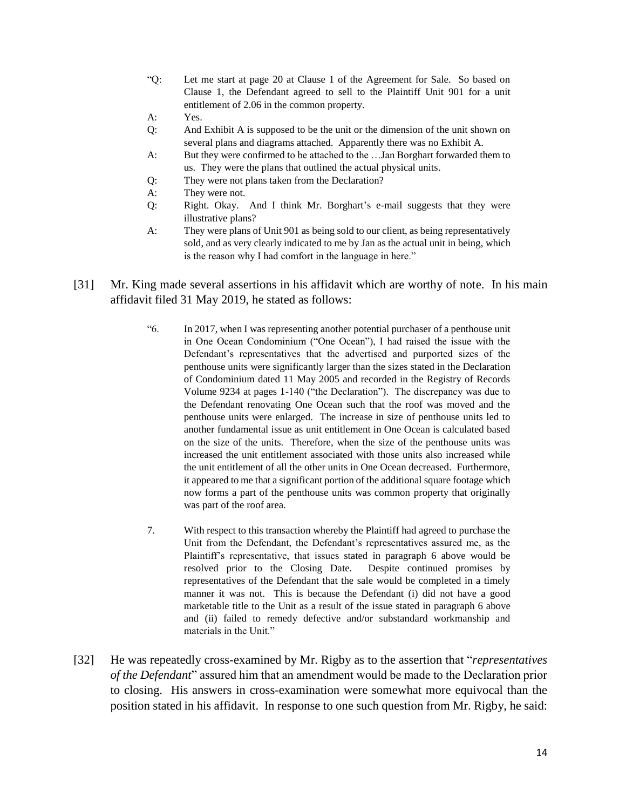- "Q: Let me start at page 20 at Clause 1 of the Agreement for Sale. So based on Clause 1, the Defendant agreed to sell to the Plaintiff Unit 901 for a unit entitlement of 2.06 in the common property.
- A: Yes.
- Q: And Exhibit A is supposed to be the unit or the dimension of the unit shown on several plans and diagrams attached. Apparently there was no Exhibit A.
- A: But they were confirmed to be attached to the …Jan Borghart forwarded them to us. They were the plans that outlined the actual physical units.
- Q: They were not plans taken from the Declaration?
- A: They were not.
- Q: Right. Okay. And I think Mr. Borghart's e-mail suggests that they were illustrative plans?
- A: They were plans of Unit 901 as being sold to our client, as being representatively sold, and as very clearly indicated to me by Jan as the actual unit in being, which is the reason why I had comfort in the language in here."
- [31] Mr. King made several assertions in his affidavit which are worthy of note. In his main affidavit filed 31 May 2019, he stated as follows:
	- "6. In 2017, when I was representing another potential purchaser of a penthouse unit in One Ocean Condominium ("One Ocean"), I had raised the issue with the Defendant's representatives that the advertised and purported sizes of the penthouse units were significantly larger than the sizes stated in the Declaration of Condominium dated 11 May 2005 and recorded in the Registry of Records Volume 9234 at pages 1-140 ("the Declaration"). The discrepancy was due to the Defendant renovating One Ocean such that the roof was moved and the penthouse units were enlarged. The increase in size of penthouse units led to another fundamental issue as unit entitlement in One Ocean is calculated based on the size of the units. Therefore, when the size of the penthouse units was increased the unit entitlement associated with those units also increased while the unit entitlement of all the other units in One Ocean decreased. Furthermore, it appeared to me that a significant portion of the additional square footage which now forms a part of the penthouse units was common property that originally was part of the roof area.
	- 7. With respect to this transaction whereby the Plaintiff had agreed to purchase the Unit from the Defendant, the Defendant's representatives assured me, as the Plaintiff's representative, that issues stated in paragraph 6 above would be resolved prior to the Closing Date. Despite continued promises by representatives of the Defendant that the sale would be completed in a timely manner it was not. This is because the Defendant (i) did not have a good marketable title to the Unit as a result of the issue stated in paragraph 6 above and (ii) failed to remedy defective and/or substandard workmanship and materials in the Unit."
- [32] He was repeatedly cross-examined by Mr. Rigby as to the assertion that "*representatives of the Defendant*" assured him that an amendment would be made to the Declaration prior to closing. His answers in cross-examination were somewhat more equivocal than the position stated in his affidavit. In response to one such question from Mr. Rigby, he said: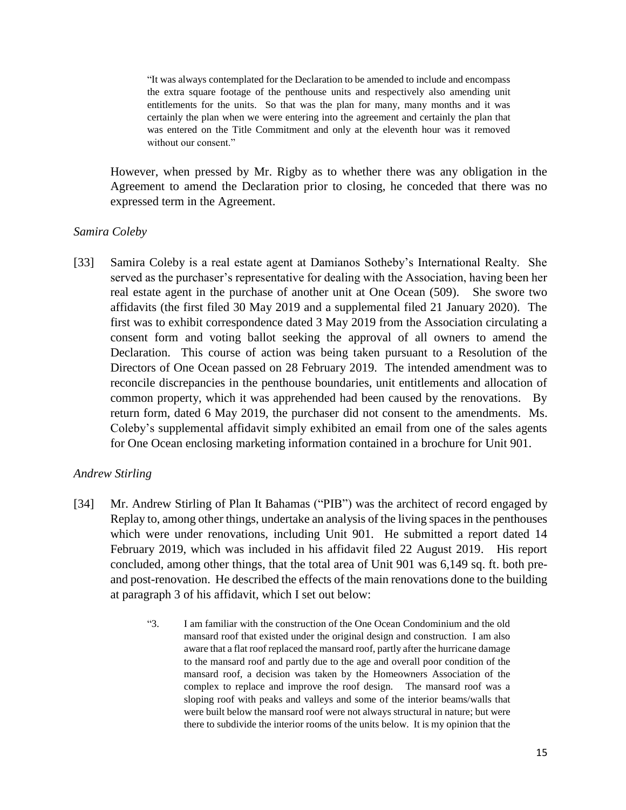"It was always contemplated for the Declaration to be amended to include and encompass the extra square footage of the penthouse units and respectively also amending unit entitlements for the units. So that was the plan for many, many months and it was certainly the plan when we were entering into the agreement and certainly the plan that was entered on the Title Commitment and only at the eleventh hour was it removed without our consent."

However, when pressed by Mr. Rigby as to whether there was any obligation in the Agreement to amend the Declaration prior to closing, he conceded that there was no expressed term in the Agreement.

## *Samira Coleby*

[33] Samira Coleby is a real estate agent at Damianos Sotheby's International Realty. She served as the purchaser's representative for dealing with the Association, having been her real estate agent in the purchase of another unit at One Ocean (509). She swore two affidavits (the first filed 30 May 2019 and a supplemental filed 21 January 2020). The first was to exhibit correspondence dated 3 May 2019 from the Association circulating a consent form and voting ballot seeking the approval of all owners to amend the Declaration. This course of action was being taken pursuant to a Resolution of the Directors of One Ocean passed on 28 February 2019. The intended amendment was to reconcile discrepancies in the penthouse boundaries, unit entitlements and allocation of common property, which it was apprehended had been caused by the renovations. By return form, dated 6 May 2019, the purchaser did not consent to the amendments. Ms. Coleby's supplemental affidavit simply exhibited an email from one of the sales agents for One Ocean enclosing marketing information contained in a brochure for Unit 901.

## *Andrew Stirling*

- [34] Mr. Andrew Stirling of Plan It Bahamas ("PIB") was the architect of record engaged by Replay to, among other things, undertake an analysis of the living spaces in the penthouses which were under renovations, including Unit 901. He submitted a report dated 14 February 2019, which was included in his affidavit filed 22 August 2019. His report concluded, among other things, that the total area of Unit 901 was 6,149 sq. ft. both preand post-renovation. He described the effects of the main renovations done to the building at paragraph 3 of his affidavit, which I set out below:
	- "3. I am familiar with the construction of the One Ocean Condominium and the old mansard roof that existed under the original design and construction. I am also aware that a flat roof replaced the mansard roof, partly after the hurricane damage to the mansard roof and partly due to the age and overall poor condition of the mansard roof, a decision was taken by the Homeowners Association of the complex to replace and improve the roof design. The mansard roof was a sloping roof with peaks and valleys and some of the interior beams/walls that were built below the mansard roof were not always structural in nature; but were there to subdivide the interior rooms of the units below. It is my opinion that the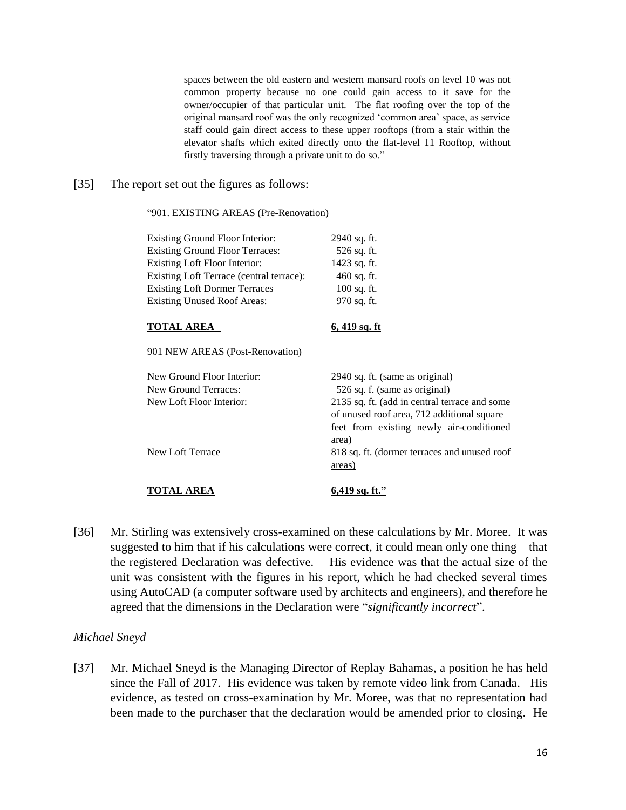spaces between the old eastern and western mansard roofs on level 10 was not common property because no one could gain access to it save for the owner/occupier of that particular unit. The flat roofing over the top of the original mansard roof was the only recognized 'common area' space, as service staff could gain direct access to these upper rooftops (from a stair within the elevator shafts which exited directly onto the flat-level 11 Rooftop, without firstly traversing through a private unit to do so."

#### [35] The report set out the figures as follows:

#### "901. EXISTING AREAS (Pre-Renovation)

| Existing Ground Floor Interior:          | 2940 sq. ft.                                                                                                                                     |
|------------------------------------------|--------------------------------------------------------------------------------------------------------------------------------------------------|
| <b>Existing Ground Floor Terraces:</b>   | 526 sq. ft.                                                                                                                                      |
| Existing Loft Floor Interior:            | 1423 sq. ft.                                                                                                                                     |
| Existing Loft Terrace (central terrace): | $460$ sq. ft.                                                                                                                                    |
| <b>Existing Loft Dormer Terraces</b>     | $100$ sq. ft.                                                                                                                                    |
| <b>Existing Unused Roof Areas:</b>       | 970 sq. ft.                                                                                                                                      |
| <b>TOTAL AREA</b>                        | $6,419$ sq. ft                                                                                                                                   |
| 901 NEW AREAS (Post-Renovation)          |                                                                                                                                                  |
| New Ground Floor Interior:               | 2940 sq. ft. (same as original)                                                                                                                  |
| <b>New Ground Terraces:</b>              | 526 sq. f. (same as original)                                                                                                                    |
| New Loft Floor Interior:                 | 2135 sq. ft. (add in central terrace and some<br>of unused roof area, 712 additional square<br>feet from existing newly air-conditioned<br>area) |
| New Loft Terrace                         | 818 sq. ft. (dormer terraces and unused roof                                                                                                     |
|                                          | areas)                                                                                                                                           |
| <b>TOTAL AREA</b>                        | 6,419 sq. ft."                                                                                                                                   |

[36] Mr. Stirling was extensively cross-examined on these calculations by Mr. Moree. It was suggested to him that if his calculations were correct, it could mean only one thing—that the registered Declaration was defective. His evidence was that the actual size of the unit was consistent with the figures in his report, which he had checked several times using AutoCAD (a computer software used by architects and engineers), and therefore he agreed that the dimensions in the Declaration were "*significantly incorrect*".

### *Michael Sneyd*

[37] Mr. Michael Sneyd is the Managing Director of Replay Bahamas, a position he has held since the Fall of 2017. His evidence was taken by remote video link from Canada. His evidence, as tested on cross-examination by Mr. Moree, was that no representation had been made to the purchaser that the declaration would be amended prior to closing. He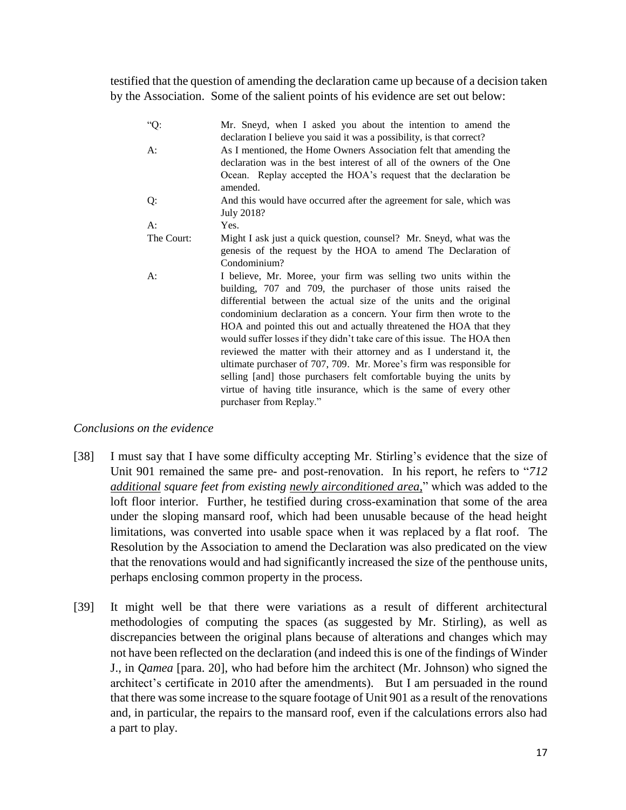testified that the question of amending the declaration came up because of a decision taken by the Association. Some of the salient points of his evidence are set out below:

| $"Q$ :     | Mr. Sneyd, when I asked you about the intention to amend the<br>declaration I believe you said it was a possibility, is that correct?                                                                                                                                                                                                                                                                                                                                                                                                                                                                                                                                                                                                                  |
|------------|--------------------------------------------------------------------------------------------------------------------------------------------------------------------------------------------------------------------------------------------------------------------------------------------------------------------------------------------------------------------------------------------------------------------------------------------------------------------------------------------------------------------------------------------------------------------------------------------------------------------------------------------------------------------------------------------------------------------------------------------------------|
| $A$ :      | As I mentioned, the Home Owners Association felt that amending the<br>declaration was in the best interest of all of the owners of the One<br>Ocean. Replay accepted the HOA's request that the declaration be                                                                                                                                                                                                                                                                                                                                                                                                                                                                                                                                         |
| Q:         | amended.<br>And this would have occurred after the agreement for sale, which was<br>July 2018?                                                                                                                                                                                                                                                                                                                                                                                                                                                                                                                                                                                                                                                         |
| $A$ :      | Yes.                                                                                                                                                                                                                                                                                                                                                                                                                                                                                                                                                                                                                                                                                                                                                   |
| The Court: | Might I ask just a quick question, counsel? Mr. Sneyd, what was the<br>genesis of the request by the HOA to amend The Declaration of<br>Condominium?                                                                                                                                                                                                                                                                                                                                                                                                                                                                                                                                                                                                   |
| A:         | I believe, Mr. Moree, your firm was selling two units within the<br>building, 707 and 709, the purchaser of those units raised the<br>differential between the actual size of the units and the original<br>condominium declaration as a concern. Your firm then wrote to the<br>HOA and pointed this out and actually threatened the HOA that they<br>would suffer losses if they didn't take care of this issue. The HOA then<br>reviewed the matter with their attorney and as I understand it, the<br>ultimate purchaser of 707, 709. Mr. Moree's firm was responsible for<br>selling [and] those purchasers felt comfortable buying the units by<br>virtue of having title insurance, which is the same of every other<br>purchaser from Replay." |

## *Conclusions on the evidence*

- [38] I must say that I have some difficulty accepting Mr. Stirling's evidence that the size of Unit 901 remained the same pre- and post-renovation. In his report, he refers to "*712 additional square feet from existing newly airconditioned area*," which was added to the loft floor interior. Further, he testified during cross-examination that some of the area under the sloping mansard roof, which had been unusable because of the head height limitations, was converted into usable space when it was replaced by a flat roof. The Resolution by the Association to amend the Declaration was also predicated on the view that the renovations would and had significantly increased the size of the penthouse units, perhaps enclosing common property in the process.
- [39] It might well be that there were variations as a result of different architectural methodologies of computing the spaces (as suggested by Mr. Stirling), as well as discrepancies between the original plans because of alterations and changes which may not have been reflected on the declaration (and indeed this is one of the findings of Winder J., in *Qamea* [para. 20], who had before him the architect (Mr. Johnson) who signed the architect's certificate in 2010 after the amendments). But I am persuaded in the round that there was some increase to the square footage of Unit 901 as a result of the renovations and, in particular, the repairs to the mansard roof, even if the calculations errors also had a part to play.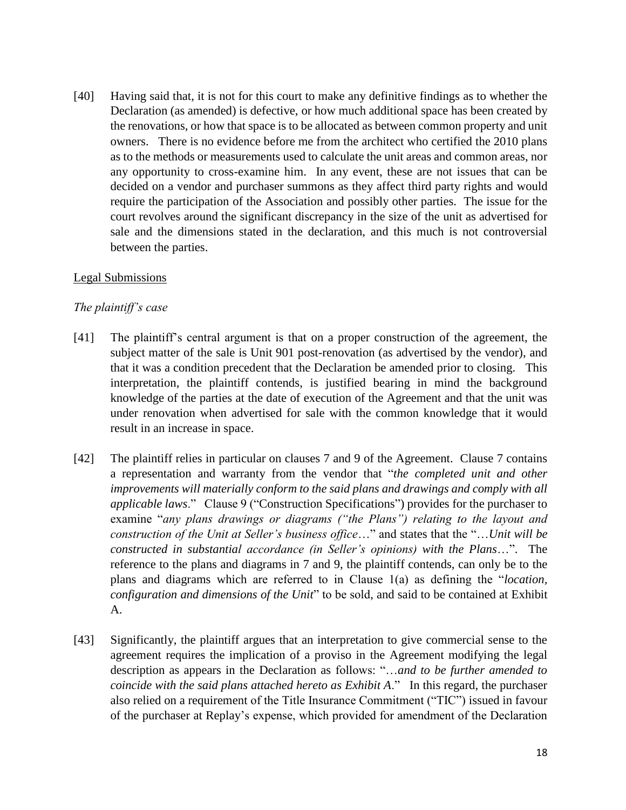[40] Having said that, it is not for this court to make any definitive findings as to whether the Declaration (as amended) is defective, or how much additional space has been created by the renovations, or how that space is to be allocated as between common property and unit owners. There is no evidence before me from the architect who certified the 2010 plans as to the methods or measurements used to calculate the unit areas and common areas, nor any opportunity to cross-examine him. In any event, these are not issues that can be decided on a vendor and purchaser summons as they affect third party rights and would require the participation of the Association and possibly other parties. The issue for the court revolves around the significant discrepancy in the size of the unit as advertised for sale and the dimensions stated in the declaration, and this much is not controversial between the parties.

## Legal Submissions

## *The plaintiff's case*

- [41] The plaintiff's central argument is that on a proper construction of the agreement, the subject matter of the sale is Unit 901 post-renovation (as advertised by the vendor), and that it was a condition precedent that the Declaration be amended prior to closing. This interpretation, the plaintiff contends, is justified bearing in mind the background knowledge of the parties at the date of execution of the Agreement and that the unit was under renovation when advertised for sale with the common knowledge that it would result in an increase in space.
- [42] The plaintiff relies in particular on clauses 7 and 9 of the Agreement. Clause 7 contains a representation and warranty from the vendor that "*the completed unit and other improvements will materially conform to the said plans and drawings and comply with all applicable laws*." Clause 9 ("Construction Specifications") provides for the purchaser to examine "*any plans drawings or diagrams ("the Plans") relating to the layout and construction of the Unit at Seller's business office*…" and states that the "…*Unit will be constructed in substantial accordance (in Seller's opinions) with the Plans*…". The reference to the plans and diagrams in 7 and 9, the plaintiff contends, can only be to the plans and diagrams which are referred to in Clause 1(a) as defining the "*location, configuration and dimensions of the Unit*" to be sold, and said to be contained at Exhibit A.
- [43] Significantly, the plaintiff argues that an interpretation to give commercial sense to the agreement requires the implication of a proviso in the Agreement modifying the legal description as appears in the Declaration as follows: "…*and to be further amended to coincide with the said plans attached hereto as Exhibit A*." In this regard, the purchaser also relied on a requirement of the Title Insurance Commitment ("TIC") issued in favour of the purchaser at Replay's expense, which provided for amendment of the Declaration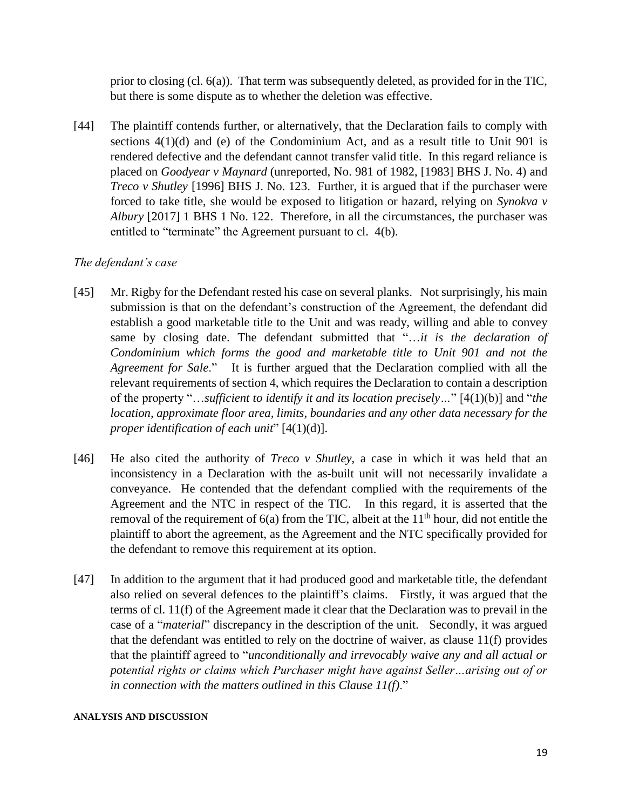prior to closing (cl. 6(a)). That term was subsequently deleted, as provided for in the TIC, but there is some dispute as to whether the deletion was effective.

[44] The plaintiff contends further, or alternatively, that the Declaration fails to comply with sections 4(1)(d) and (e) of the Condominium Act, and as a result title to Unit 901 is rendered defective and the defendant cannot transfer valid title. In this regard reliance is placed on *Goodyear v Maynard* (unreported, No. 981 of 1982, [1983] BHS J. No. 4) and *Treco v Shutley* [1996] BHS J. No. 123. Further, it is argued that if the purchaser were forced to take title, she would be exposed to litigation or hazard, relying on *Synokva v Albury* [2017] 1 BHS 1 No. 122. Therefore, in all the circumstances, the purchaser was entitled to "terminate" the Agreement pursuant to cl. 4(b).

# *The defendant's case*

- [45] Mr. Rigby for the Defendant rested his case on several planks. Not surprisingly, his main submission is that on the defendant's construction of the Agreement, the defendant did establish a good marketable title to the Unit and was ready, willing and able to convey same by closing date. The defendant submitted that "…*it is the declaration of Condominium which forms the good and marketable title to Unit 901 and not the Agreement for Sale*." It is further argued that the Declaration complied with all the relevant requirements of section 4, which requires the Declaration to contain a description of the property "…*sufficient to identify it and its location precisely…*" [4(1)(b)] and "*the location, approximate floor area, limits, boundaries and any other data necessary for the proper identification of each unit*" [4(1)(d)].
- [46] He also cited the authority of *Treco v Shutley*, a case in which it was held that an inconsistency in a Declaration with the as-built unit will not necessarily invalidate a conveyance. He contended that the defendant complied with the requirements of the Agreement and the NTC in respect of the TIC. In this regard, it is asserted that the removal of the requirement of  $6(a)$  from the TIC, albeit at the  $11<sup>th</sup>$  hour, did not entitle the plaintiff to abort the agreement, as the Agreement and the NTC specifically provided for the defendant to remove this requirement at its option.
- [47] In addition to the argument that it had produced good and marketable title, the defendant also relied on several defences to the plaintiff's claims. Firstly, it was argued that the terms of cl. 11(f) of the Agreement made it clear that the Declaration was to prevail in the case of a "*material*" discrepancy in the description of the unit. Secondly, it was argued that the defendant was entitled to rely on the doctrine of waiver, as clause 11(f) provides that the plaintiff agreed to "*unconditionally and irrevocably waive any and all actual or potential rights or claims which Purchaser might have against Seller…arising out of or in connection with the matters outlined in this Clause 11(f)*."

#### **ANALYSIS AND DISCUSSION**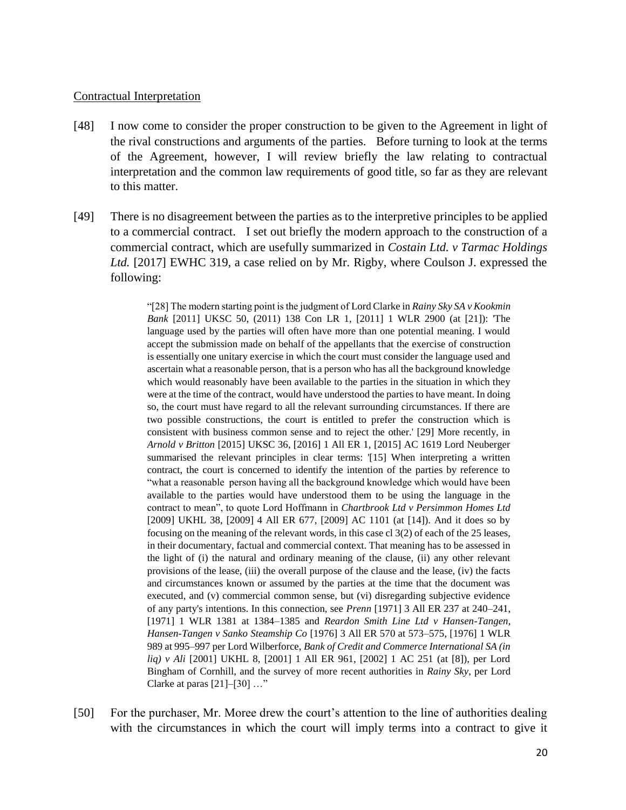### Contractual Interpretation

- [48] I now come to consider the proper construction to be given to the Agreement in light of the rival constructions and arguments of the parties. Before turning to look at the terms of the Agreement, however, I will review briefly the law relating to contractual interpretation and the common law requirements of good title, so far as they are relevant to this matter.
- [49] There is no disagreement between the parties as to the interpretive principles to be applied to a commercial contract. I set out briefly the modern approach to the construction of a commercial contract, which are usefully summarized in *Costain Ltd. v Tarmac Holdings Ltd.* [2017] EWHC 319, a case relied on by Mr. Rigby, where Coulson J. expressed the following:

"[28] The modern starting point is the judgment of Lord Clarke in *Rainy Sky SA v Kookmin Bank* [2011] UKSC 50, (2011) 138 Con LR 1, [2011] 1 WLR 2900 (at [21]): 'The language used by the parties will often have more than one potential meaning. I would accept the submission made on behalf of the appellants that the exercise of construction is essentially one unitary exercise in which the court must consider the language used and ascertain what a reasonable person, that is a person who has all the background knowledge which would reasonably have been available to the parties in the situation in which they were at the time of the contract, would have understood the parties to have meant. In doing so, the court must have regard to all the relevant surrounding circumstances. If there are two possible constructions, the court is entitled to prefer the construction which is consistent with business common sense and to reject the other.' [29] More recently, in *Arnold v Britton* [2015] UKSC 36, [2016] 1 All ER 1, [2015] AC 1619 Lord Neuberger summarised the relevant principles in clear terms: '[15] When interpreting a written contract, the court is concerned to identify the intention of the parties by reference to "what a reasonable person having all the background knowledge which would have been available to the parties would have understood them to be using the language in the contract to mean", to quote Lord Hoffmann in *Chartbrook Ltd v Persimmon Homes Ltd* [2009] UKHL 38, [2009] 4 All ER 677, [2009] AC 1101 (at [14]). And it does so by focusing on the meaning of the relevant words, in this case cl 3(2) of each of the 25 leases, in their documentary, factual and commercial context. That meaning has to be assessed in the light of (i) the natural and ordinary meaning of the clause, (ii) any other relevant provisions of the lease, (iii) the overall purpose of the clause and the lease, (iv) the facts and circumstances known or assumed by the parties at the time that the document was executed, and (v) commercial common sense, but (vi) disregarding subjective evidence of any party's intentions. In this connection, see *Prenn* [1971] 3 All ER 237 at 240–241, [1971] 1 WLR 1381 at 1384–1385 and *Reardon Smith Line Ltd v Hansen-Tangen*, *Hansen-Tangen v Sanko Steamship Co* [1976] 3 All ER 570 at 573–575, [1976] 1 WLR 989 at 995–997 per Lord Wilberforce, *Bank of Credit and Commerce International SA (in liq) v Ali* [2001] UKHL 8, [2001] 1 All ER 961, [2002] 1 AC 251 (at [8]), per Lord Bingham of Cornhill, and the survey of more recent authorities in *Rainy Sky*, per Lord Clarke at paras  $[21]$ – $[30]$  ..."

[50] For the purchaser, Mr. Moree drew the court's attention to the line of authorities dealing with the circumstances in which the court will imply terms into a contract to give it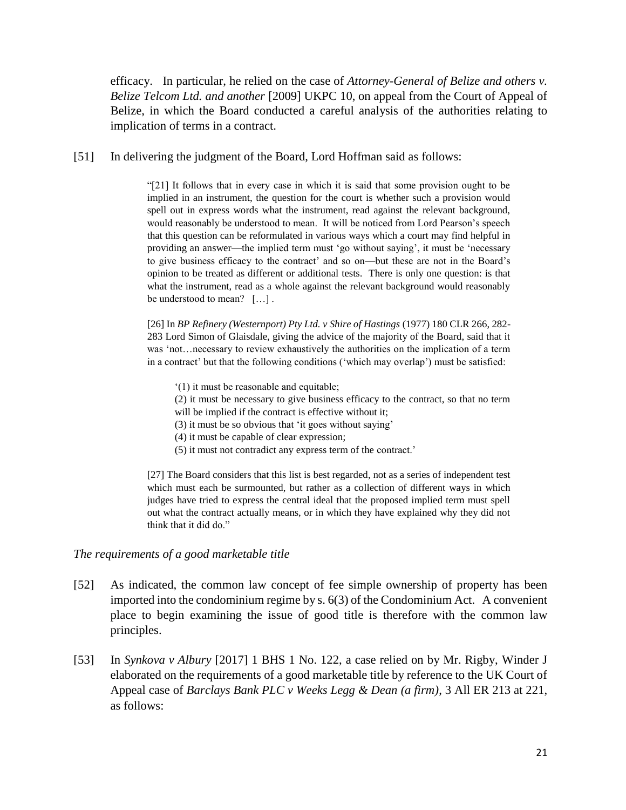efficacy. In particular, he relied on the case of *Attorney-General of Belize and others v. Belize Telcom Ltd. and another* [2009] UKPC 10, on appeal from the Court of Appeal of Belize, in which the Board conducted a careful analysis of the authorities relating to implication of terms in a contract.

[51] In delivering the judgment of the Board, Lord Hoffman said as follows:

"[21] It follows that in every case in which it is said that some provision ought to be implied in an instrument, the question for the court is whether such a provision would spell out in express words what the instrument, read against the relevant background, would reasonably be understood to mean. It will be noticed from Lord Pearson's speech that this question can be reformulated in various ways which a court may find helpful in providing an answer—the implied term must 'go without saying', it must be 'necessary to give business efficacy to the contract' and so on—but these are not in the Board's opinion to be treated as different or additional tests. There is only one question: is that what the instrument, read as a whole against the relevant background would reasonably be understood to mean? […] .

[26] In *BP Refinery (Westernport) Pty Ltd. v Shire of Hastings* (1977) 180 CLR 266, 282- 283 Lord Simon of Glaisdale, giving the advice of the majority of the Board, said that it was 'not…necessary to review exhaustively the authorities on the implication of a term in a contract' but that the following conditions ('which may overlap') must be satisfied:

- '(1) it must be reasonable and equitable;
- (2) it must be necessary to give business efficacy to the contract, so that no term will be implied if the contract is effective without it;
- (3) it must be so obvious that 'it goes without saying'
- (4) it must be capable of clear expression;
- (5) it must not contradict any express term of the contract.'

[27] The Board considers that this list is best regarded, not as a series of independent test which must each be surmounted, but rather as a collection of different ways in which judges have tried to express the central ideal that the proposed implied term must spell out what the contract actually means, or in which they have explained why they did not think that it did do."

### *The requirements of a good marketable title*

- [52] As indicated, the common law concept of fee simple ownership of property has been imported into the condominium regime by s. 6(3) of the Condominium Act. A convenient place to begin examining the issue of good title is therefore with the common law principles.
- [53] In *Synkova v Albury* [2017] 1 BHS 1 No. 122, a case relied on by Mr. Rigby, Winder J elaborated on the requirements of a good marketable title by reference to the UK Court of Appeal case of *Barclays Bank PLC v Weeks Legg & Dean (a firm)*, 3 All ER 213 at 221, as follows: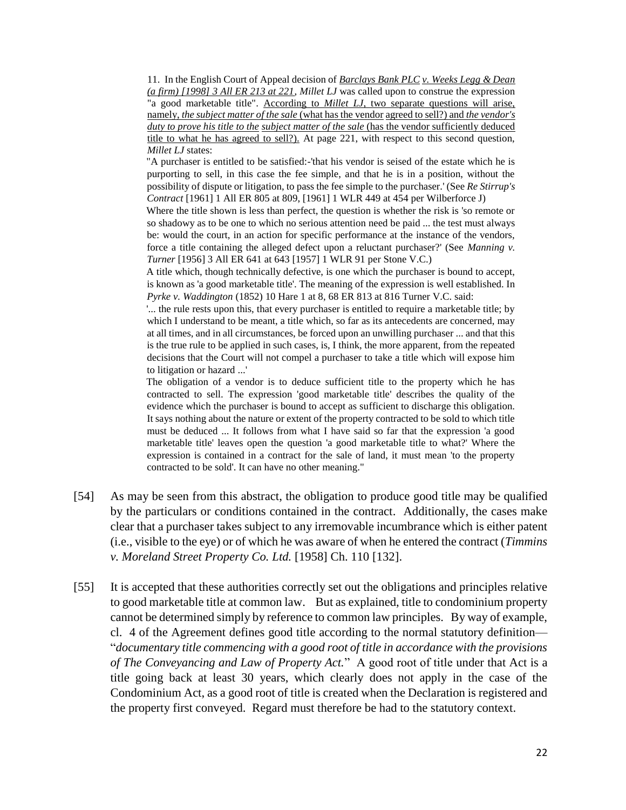11. In the English Court of Appeal decision of *Barclays Bank PLC v. Weeks Legg & Dean (a firm) [1998] 3 All ER 213 at 221*, *Millet LJ* was called upon to construe the expression "a good marketable title". According to *Millet LJ*, two separate questions will arise, namely, *the subject matter of the sale* (what has the vendor agreed to sell?) and *the vendor's duty to prove his title to the subject matter of the sale* (has the vendor sufficiently deduced title to what he has agreed to sell?). At page 221, with respect to this second question, *Millet LJ* states:

"A purchaser is entitled to be satisfied:-'that his vendor is seised of the estate which he is purporting to sell, in this case the fee simple, and that he is in a position, without the possibility of dispute or litigation, to pass the fee simple to the purchaser.' (See *Re Stirrup's Contract* [1961] 1 All ER 805 at 809, [1961] 1 WLR 449 at 454 per Wilberforce J)

Where the title shown is less than perfect, the question is whether the risk is 'so remote or so shadowy as to be one to which no serious attention need be paid ... the test must always be: would the court, in an action for specific performance at the instance of the vendors, force a title containing the alleged defect upon a reluctant purchaser?' (See *Manning v. Turner* [1956] 3 All ER 641 at 643 [1957] 1 WLR 91 per Stone V.C.)

A title which, though technically defective, is one which the purchaser is bound to accept, is known as 'a good marketable title'. The meaning of the expression is well established. In *Pyrke v. Waddington* (1852) 10 Hare 1 at 8, 68 ER 813 at 816 Turner V.C. said:

'... the rule rests upon this, that every purchaser is entitled to require a marketable title; by which I understand to be meant, a title which, so far as its antecedents are concerned, may at all times, and in all circumstances, be forced upon an unwilling purchaser ... and that this is the true rule to be applied in such cases, is, I think, the more apparent, from the repeated decisions that the Court will not compel a purchaser to take a title which will expose him to litigation or hazard ...'

The obligation of a vendor is to deduce sufficient title to the property which he has contracted to sell. The expression 'good marketable title' describes the quality of the evidence which the purchaser is bound to accept as sufficient to discharge this obligation. It says nothing about the nature or extent of the property contracted to be sold to which title must be deduced ... It follows from what I have said so far that the expression 'a good marketable title' leaves open the question 'a good marketable title to what?' Where the expression is contained in a contract for the sale of land, it must mean 'to the property contracted to be sold'. It can have no other meaning."

- [54] As may be seen from this abstract, the obligation to produce good title may be qualified by the particulars or conditions contained in the contract. Additionally, the cases make clear that a purchaser takes subject to any irremovable incumbrance which is either patent (i.e., visible to the eye) or of which he was aware of when he entered the contract (*Timmins v. Moreland Street Property Co. Ltd.* [1958] Ch. 110 [132].
- [55] It is accepted that these authorities correctly set out the obligations and principles relative to good marketable title at common law. But as explained, title to condominium property cannot be determined simply by reference to common law principles. By way of example, cl. 4 of the Agreement defines good title according to the normal statutory definition— "*documentary title commencing with a good root of title in accordance with the provisions of The Conveyancing and Law of Property Act.*" A good root of title under that Act is a title going back at least 30 years, which clearly does not apply in the case of the Condominium Act, as a good root of title is created when the Declaration is registered and the property first conveyed. Regard must therefore be had to the statutory context.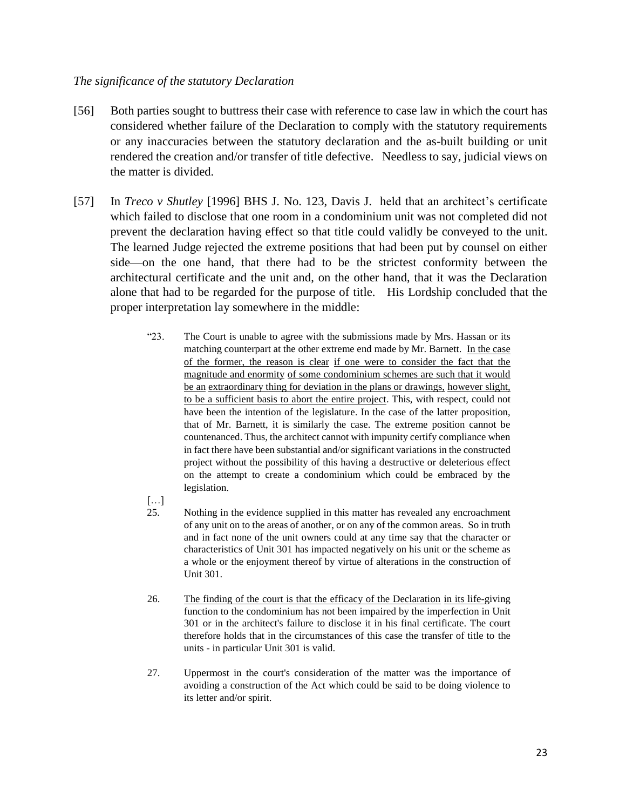## *The significance of the statutory Declaration*

- [56] Both parties sought to buttress their case with reference to case law in which the court has considered whether failure of the Declaration to comply with the statutory requirements or any inaccuracies between the statutory declaration and the as-built building or unit rendered the creation and/or transfer of title defective. Needless to say, judicial views on the matter is divided.
- [57] In *Treco v Shutley* [1996] BHS J. No. 123, Davis J. held that an architect's certificate which failed to disclose that one room in a condominium unit was not completed did not prevent the declaration having effect so that title could validly be conveyed to the unit. The learned Judge rejected the extreme positions that had been put by counsel on either side—on the one hand, that there had to be the strictest conformity between the architectural certificate and the unit and, on the other hand, that it was the Declaration alone that had to be regarded for the purpose of title. His Lordship concluded that the proper interpretation lay somewhere in the middle:
	- "23. The Court is unable to agree with the submissions made by Mrs. Hassan or its matching counterpart at the other extreme end made by Mr. Barnett. In the case of the former, the reason is clear if one were to consider the fact that the magnitude and enormity of some condominium schemes are such that it would be an extraordinary thing for deviation in the plans or drawings, however slight, to be a sufficient basis to abort the entire project. This, with respect, could not have been the intention of the legislature. In the case of the latter proposition, that of Mr. Barnett, it is similarly the case. The extreme position cannot be countenanced. Thus, the architect cannot with impunity certify compliance when in fact there have been substantial and/or significant variations in the constructed project without the possibility of this having a destructive or deleterious effect on the attempt to create a condominium which could be embraced by the legislation.

[…]

- 25. Nothing in the evidence supplied in this matter has revealed any encroachment of any unit on to the areas of another, or on any of the common areas. So in truth and in fact none of the unit owners could at any time say that the character or characteristics of Unit 301 has impacted negatively on his unit or the scheme as a whole or the enjoyment thereof by virtue of alterations in the construction of Unit 301.
- 26. The finding of the court is that the efficacy of the Declaration in its life-giving function to the condominium has not been impaired by the imperfection in Unit 301 or in the architect's failure to disclose it in his final certificate. The court therefore holds that in the circumstances of this case the transfer of title to the units - in particular Unit 301 is valid.
- 27. Uppermost in the court's consideration of the matter was the importance of avoiding a construction of the Act which could be said to be doing violence to its letter and/or spirit.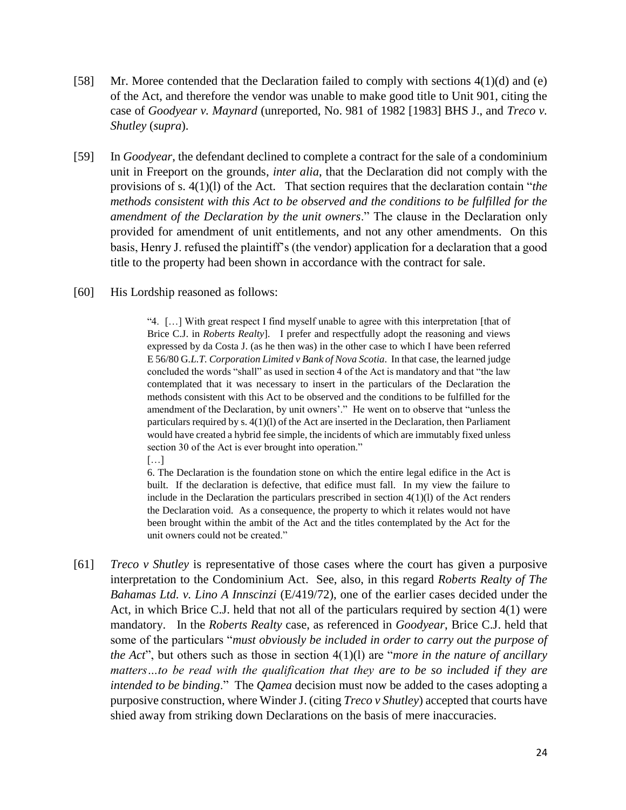- [58] Mr. Moree contended that the Declaration failed to comply with sections 4(1)(d) and (e) of the Act, and therefore the vendor was unable to make good title to Unit 901, citing the case of *Goodyear v. Maynard* (unreported, No. 981 of 1982 [1983] BHS J., and *Treco v. Shutley* (*supra*).
- [59] In *Goodyear*, the defendant declined to complete a contract for the sale of a condominium unit in Freeport on the grounds, *inter alia*, that the Declaration did not comply with the provisions of s. 4(1)(l) of the Act. That section requires that the declaration contain "*the methods consistent with this Act to be observed and the conditions to be fulfilled for the amendment of the Declaration by the unit owners*." The clause in the Declaration only provided for amendment of unit entitlements, and not any other amendments. On this basis, Henry J. refused the plaintiff's (the vendor) application for a declaration that a good title to the property had been shown in accordance with the contract for sale.
- [60] His Lordship reasoned as follows:

"4. […] With great respect I find myself unable to agree with this interpretation [that of Brice C.J. in *Roberts Realty*]. I prefer and respectfully adopt the reasoning and views expressed by da Costa J. (as he then was) in the other case to which I have been referred E 56/80 G*.L.T. Corporation Limited v Bank of Nova Scotia*. In that case, the learned judge concluded the words "shall" as used in section 4 of the Act is mandatory and that "the law contemplated that it was necessary to insert in the particulars of the Declaration the methods consistent with this Act to be observed and the conditions to be fulfilled for the amendment of the Declaration, by unit owners'." He went on to observe that "unless the particulars required by s. 4(1)(l) of the Act are inserted in the Declaration, then Parliament would have created a hybrid fee simple, the incidents of which are immutably fixed unless section 30 of the Act is ever brought into operation."

[…]

6. The Declaration is the foundation stone on which the entire legal edifice in the Act is built. If the declaration is defective, that edifice must fall. In my view the failure to include in the Declaration the particulars prescribed in section  $4(1)(l)$  of the Act renders the Declaration void. As a consequence, the property to which it relates would not have been brought within the ambit of the Act and the titles contemplated by the Act for the unit owners could not be created."

[61] *Treco v Shutley* is representative of those cases where the court has given a purposive interpretation to the Condominium Act. See, also, in this regard *Roberts Realty of The Bahamas Ltd. v. Lino A Innscinzi* (E/419/72), one of the earlier cases decided under the Act, in which Brice C.J. held that not all of the particulars required by section 4(1) were mandatory. In the *Roberts Realty* case, as referenced in *Goodyear*, Brice C.J. held that some of the particulars "*must obviously be included in order to carry out the purpose of the Act*", but others such as those in section 4(1)(l) are "*more in the nature of ancillary matters…to be read with the qualification that they are to be so included if they are intended to be binding*." The *Qamea* decision must now be added to the cases adopting a purposive construction, where Winder J. (citing *Treco v Shutley*) accepted that courts have shied away from striking down Declarations on the basis of mere inaccuracies.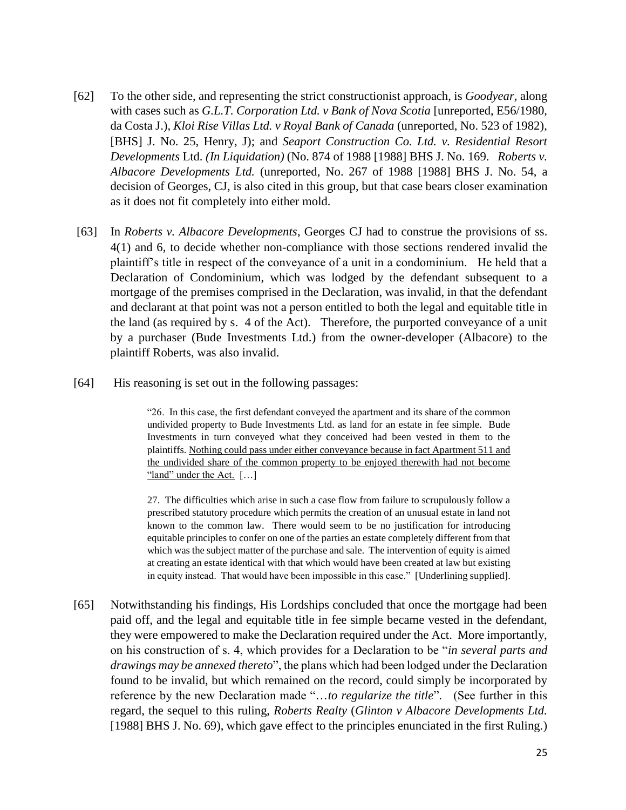- [62] To the other side, and representing the strict constructionist approach, is *Goodyear,* along with cases such as *G.L.T. Corporation Ltd. v Bank of Nova Scotia* [unreported, E56/1980, da Costa J.), *Kloi Rise Villas Ltd. v Royal Bank of Canada* (unreported, No. 523 of 1982), [BHS] J. No. 25, Henry, J); and *Seaport Construction Co. Ltd. v. Residential Resort Developments* Ltd. *(In Liquidation)* (No. 874 of 1988 [1988] BHS J. No. 169. *Roberts v. Albacore Developments Ltd.* (unreported, No. 267 of 1988 [1988] BHS J. No. 54, a decision of Georges, CJ, is also cited in this group, but that case bears closer examination as it does not fit completely into either mold.
- [63] In *Roberts v. Albacore Developments*, Georges CJ had to construe the provisions of ss. 4(1) and 6, to decide whether non-compliance with those sections rendered invalid the plaintiff's title in respect of the conveyance of a unit in a condominium. He held that a Declaration of Condominium, which was lodged by the defendant subsequent to a mortgage of the premises comprised in the Declaration, was invalid, in that the defendant and declarant at that point was not a person entitled to both the legal and equitable title in the land (as required by s. 4 of the Act). Therefore, the purported conveyance of a unit by a purchaser (Bude Investments Ltd.) from the owner-developer (Albacore) to the plaintiff Roberts, was also invalid.
- [64] His reasoning is set out in the following passages:

"26. In this case, the first defendant conveyed the apartment and its share of the common undivided property to Bude Investments Ltd. as land for an estate in fee simple. Bude Investments in turn conveyed what they conceived had been vested in them to the plaintiffs. Nothing could pass under either conveyance because in fact Apartment 511 and the undivided share of the common property to be enjoyed therewith had not become "land" under the Act. [...]

27. The difficulties which arise in such a case flow from failure to scrupulously follow a prescribed statutory procedure which permits the creation of an unusual estate in land not known to the common law. There would seem to be no justification for introducing equitable principles to confer on one of the parties an estate completely different from that which was the subject matter of the purchase and sale. The intervention of equity is aimed at creating an estate identical with that which would have been created at law but existing in equity instead. That would have been impossible in this case." [Underlining supplied].

[65] Notwithstanding his findings, His Lordships concluded that once the mortgage had been paid off, and the legal and equitable title in fee simple became vested in the defendant, they were empowered to make the Declaration required under the Act. More importantly, on his construction of s. 4, which provides for a Declaration to be "*in several parts and drawings may be annexed thereto*", the plans which had been lodged under the Declaration found to be invalid, but which remained on the record, could simply be incorporated by reference by the new Declaration made "…*to regularize the title*". (See further in this regard, the sequel to this ruling, *Roberts Realty* (*Glinton v Albacore Developments Ltd.* [1988] BHS J. No. 69), which gave effect to the principles enunciated in the first Ruling.)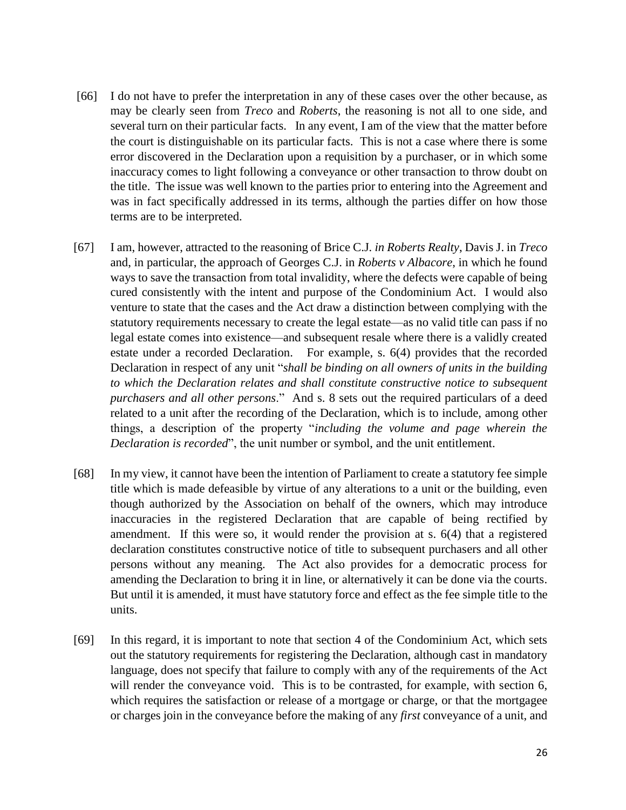- [66] I do not have to prefer the interpretation in any of these cases over the other because, as may be clearly seen from *Treco* and *Roberts*, the reasoning is not all to one side, and several turn on their particular facts. In any event, I am of the view that the matter before the court is distinguishable on its particular facts. This is not a case where there is some error discovered in the Declaration upon a requisition by a purchaser, or in which some inaccuracy comes to light following a conveyance or other transaction to throw doubt on the title. The issue was well known to the parties prior to entering into the Agreement and was in fact specifically addressed in its terms, although the parties differ on how those terms are to be interpreted.
- [67] I am, however, attracted to the reasoning of Brice C.J*. in Roberts Realty*, Davis J. in *Treco* and, in particular, the approach of Georges C.J. in *Roberts v Albacore*, in which he found ways to save the transaction from total invalidity, where the defects were capable of being cured consistently with the intent and purpose of the Condominium Act. I would also venture to state that the cases and the Act draw a distinction between complying with the statutory requirements necessary to create the legal estate—as no valid title can pass if no legal estate comes into existence—and subsequent resale where there is a validly created estate under a recorded Declaration. For example, s. 6(4) provides that the recorded Declaration in respect of any unit "*shall be binding on all owners of units in the building to which the Declaration relates and shall constitute constructive notice to subsequent purchasers and all other persons*." And s. 8 sets out the required particulars of a deed related to a unit after the recording of the Declaration, which is to include, among other things, a description of the property "*including the volume and page wherein the Declaration is recorded*", the unit number or symbol, and the unit entitlement.
- [68] In my view, it cannot have been the intention of Parliament to create a statutory fee simple title which is made defeasible by virtue of any alterations to a unit or the building, even though authorized by the Association on behalf of the owners, which may introduce inaccuracies in the registered Declaration that are capable of being rectified by amendment. If this were so, it would render the provision at s. 6(4) that a registered declaration constitutes constructive notice of title to subsequent purchasers and all other persons without any meaning. The Act also provides for a democratic process for amending the Declaration to bring it in line, or alternatively it can be done via the courts. But until it is amended, it must have statutory force and effect as the fee simple title to the units.
- [69] In this regard, it is important to note that section 4 of the Condominium Act, which sets out the statutory requirements for registering the Declaration, although cast in mandatory language, does not specify that failure to comply with any of the requirements of the Act will render the conveyance void. This is to be contrasted, for example, with section 6, which requires the satisfaction or release of a mortgage or charge, or that the mortgagee or charges join in the conveyance before the making of any *first* conveyance of a unit, and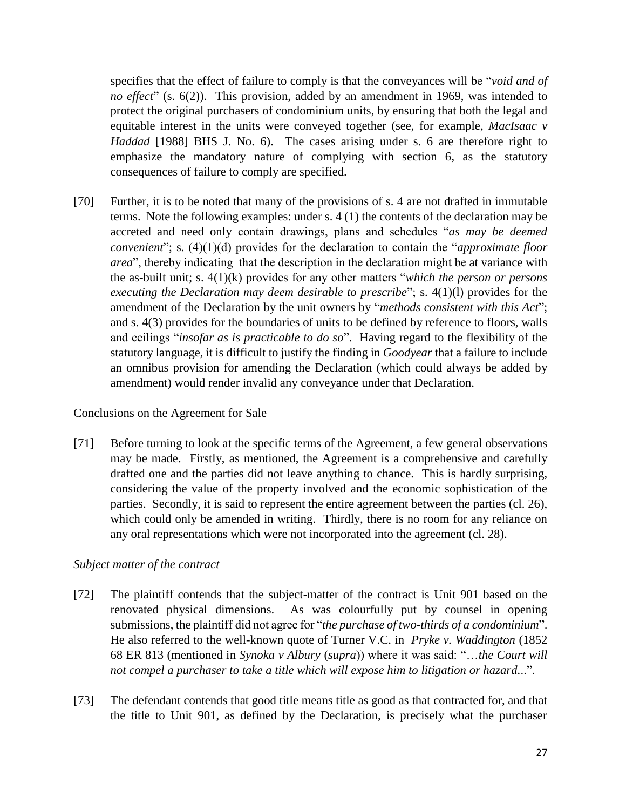specifies that the effect of failure to comply is that the conveyances will be "*void and of no effect*" (s. 6(2)). This provision, added by an amendment in 1969, was intended to protect the original purchasers of condominium units, by ensuring that both the legal and equitable interest in the units were conveyed together (see, for example, *MacIsaac v Haddad* [1988] BHS J. No. 6). The cases arising under s. 6 are therefore right to emphasize the mandatory nature of complying with section 6, as the statutory consequences of failure to comply are specified.

[70] Further, it is to be noted that many of the provisions of s. 4 are not drafted in immutable terms. Note the following examples: under s. 4 (1) the contents of the declaration may be accreted and need only contain drawings, plans and schedules "*as may be deemed convenient*"; s. (4)(1)(d) provides for the declaration to contain the "*approximate floor area*", thereby indicating that the description in the declaration might be at variance with the as-built unit; s. 4(1)(k) provides for any other matters "*which the person or persons executing the Declaration may deem desirable to prescribe*"; s. 4(1)(l) provides for the amendment of the Declaration by the unit owners by "*methods consistent with this Act*"; and s. 4(3) provides for the boundaries of units to be defined by reference to floors, walls and ceilings "*insofar as is practicable to do so*". Having regard to the flexibility of the statutory language, it is difficult to justify the finding in *Goodyear* that a failure to include an omnibus provision for amending the Declaration (which could always be added by amendment) would render invalid any conveyance under that Declaration.

## Conclusions on the Agreement for Sale

[71] Before turning to look at the specific terms of the Agreement, a few general observations may be made. Firstly, as mentioned, the Agreement is a comprehensive and carefully drafted one and the parties did not leave anything to chance. This is hardly surprising, considering the value of the property involved and the economic sophistication of the parties. Secondly, it is said to represent the entire agreement between the parties (cl. 26), which could only be amended in writing. Thirdly, there is no room for any reliance on any oral representations which were not incorporated into the agreement (cl. 28).

## *Subject matter of the contract*

- [72] The plaintiff contends that the subject-matter of the contract is Unit 901 based on the renovated physical dimensions. As was colourfully put by counsel in opening submissions, the plaintiff did not agree for "*the purchase of two-thirds of a condominium*". He also referred to the well-known quote of Turner V.C. in *Pryke v. Waddington* (1852 68 ER 813 (mentioned in *Synoka v Albury* (*supra*)) where it was said: "…*the Court will not compel a purchaser to take a title which will expose him to litigation or hazard.*..".
- [73] The defendant contends that good title means title as good as that contracted for, and that the title to Unit 901, as defined by the Declaration, is precisely what the purchaser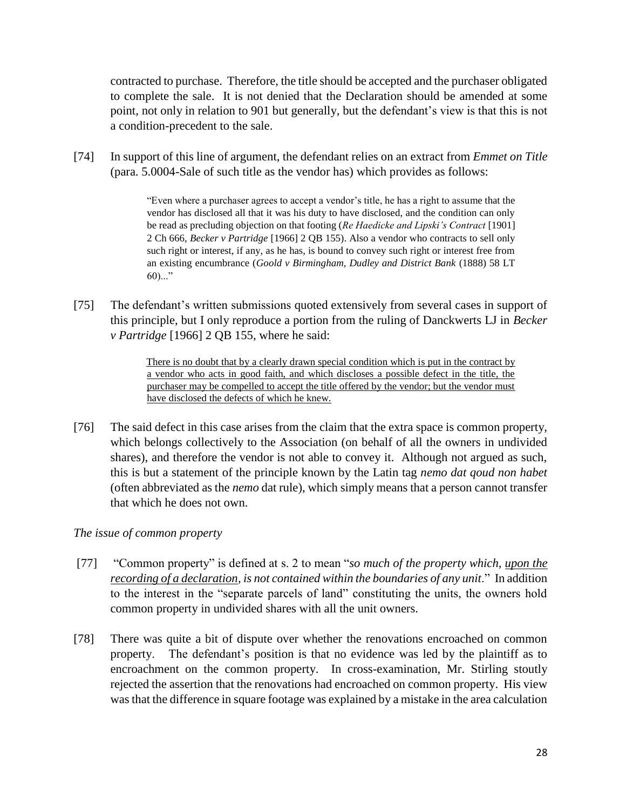contracted to purchase. Therefore, the title should be accepted and the purchaser obligated to complete the sale. It is not denied that the Declaration should be amended at some point, not only in relation to 901 but generally, but the defendant's view is that this is not a condition-precedent to the sale.

[74] In support of this line of argument, the defendant relies on an extract from *Emmet on Title*  (para. 5.0004-Sale of such title as the vendor has) which provides as follows:

> "Even where a purchaser agrees to accept a vendor's title, he has a right to assume that the vendor has disclosed all that it was his duty to have disclosed, and the condition can only be read as precluding objection on that footing (*Re Haedicke and Lipski's Contract* [1901] 2 Ch 666, *Becker v Partridge* [1966] 2 QB 155). Also a vendor who contracts to sell only such right or interest, if any, as he has, is bound to convey such right or interest free from an existing encumbrance (*Goold v Birmingham, Dudley and District Bank* (1888) 58 LT  $60)$ ..."

[75] The defendant's written submissions quoted extensively from several cases in support of this principle, but I only reproduce a portion from the ruling of Danckwerts LJ in *Becker v Partridge* [1966] 2 QB 155, where he said:

> There is no doubt that by a clearly drawn special condition which is put in the contract by a vendor who acts in good faith, and which discloses a possible defect in the title, the purchaser may be compelled to accept the title offered by the vendor; but the vendor must have disclosed the defects of which he knew.

[76] The said defect in this case arises from the claim that the extra space is common property, which belongs collectively to the Association (on behalf of all the owners in undivided shares), and therefore the vendor is not able to convey it. Although not argued as such, this is but a statement of the principle known by the Latin tag *nemo dat qoud non habet* (often abbreviated as the *nemo* dat rule), which simply means that a person cannot transfer that which he does not own.

## *The issue of common property*

- [77] "Common property" is defined at s. 2 to mean "*so much of the property which, upon the recording of a declaration, is not contained within the boundaries of any unit*." In addition to the interest in the "separate parcels of land" constituting the units, the owners hold common property in undivided shares with all the unit owners.
- [78] There was quite a bit of dispute over whether the renovations encroached on common property. The defendant's position is that no evidence was led by the plaintiff as to encroachment on the common property. In cross-examination, Mr. Stirling stoutly rejected the assertion that the renovations had encroached on common property. His view was that the difference in square footage was explained by a mistake in the area calculation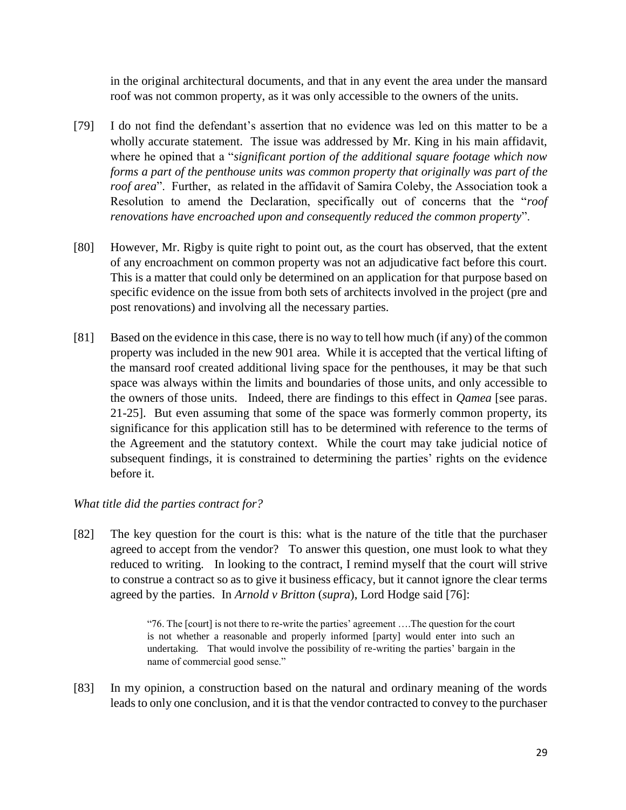in the original architectural documents, and that in any event the area under the mansard roof was not common property, as it was only accessible to the owners of the units.

- [79] I do not find the defendant's assertion that no evidence was led on this matter to be a wholly accurate statement. The issue was addressed by Mr. King in his main affidavit, where he opined that a "*significant portion of the additional square footage which now forms a part of the penthouse units was common property that originally was part of the roof area*". Further, as related in the affidavit of Samira Coleby, the Association took a Resolution to amend the Declaration, specifically out of concerns that the "*roof renovations have encroached upon and consequently reduced the common property*".
- [80] However, Mr. Rigby is quite right to point out, as the court has observed, that the extent of any encroachment on common property was not an adjudicative fact before this court. This is a matter that could only be determined on an application for that purpose based on specific evidence on the issue from both sets of architects involved in the project (pre and post renovations) and involving all the necessary parties.
- [81] Based on the evidence in this case, there is no way to tell how much (if any) of the common property was included in the new 901 area. While it is accepted that the vertical lifting of the mansard roof created additional living space for the penthouses, it may be that such space was always within the limits and boundaries of those units, and only accessible to the owners of those units. Indeed, there are findings to this effect in *Qamea* [see paras. 21-25]. But even assuming that some of the space was formerly common property, its significance for this application still has to be determined with reference to the terms of the Agreement and the statutory context. While the court may take judicial notice of subsequent findings, it is constrained to determining the parties' rights on the evidence before it.

## *What title did the parties contract for?*

[82] The key question for the court is this: what is the nature of the title that the purchaser agreed to accept from the vendor? To answer this question, one must look to what they reduced to writing. In looking to the contract, I remind myself that the court will strive to construe a contract so as to give it business efficacy, but it cannot ignore the clear terms agreed by the parties. In *Arnold v Britton* (*supra*), Lord Hodge said [76]:

> "76. The [court] is not there to re-write the parties' agreement ….The question for the court is not whether a reasonable and properly informed [party] would enter into such an undertaking. That would involve the possibility of re-writing the parties' bargain in the name of commercial good sense."

[83] In my opinion, a construction based on the natural and ordinary meaning of the words leads to only one conclusion, and it is that the vendor contracted to convey to the purchaser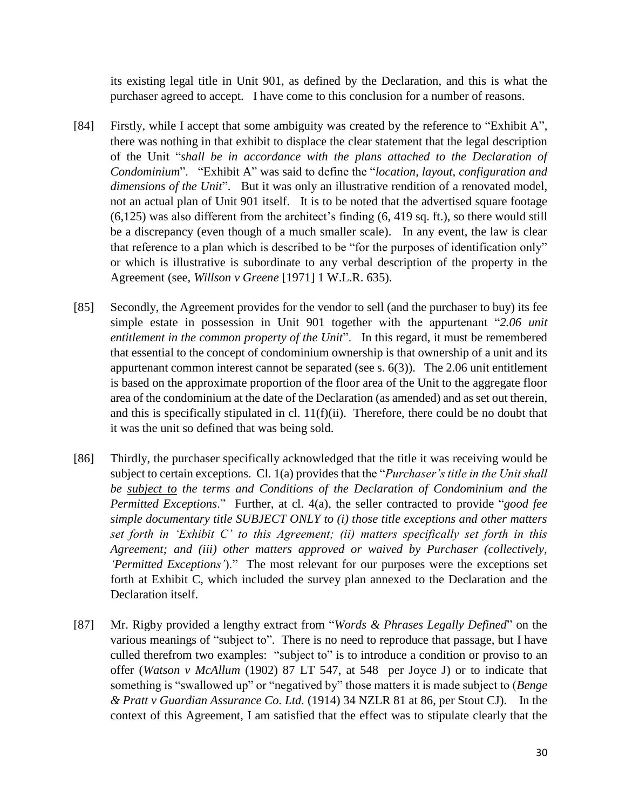its existing legal title in Unit 901, as defined by the Declaration, and this is what the purchaser agreed to accept. I have come to this conclusion for a number of reasons.

- [84] Firstly, while I accept that some ambiguity was created by the reference to "Exhibit A", there was nothing in that exhibit to displace the clear statement that the legal description of the Unit "*shall be in accordance with the plans attached to the Declaration of Condominium*". "Exhibit A" was said to define the "*location, layout, configuration and dimensions of the Unit*". But it was only an illustrative rendition of a renovated model, not an actual plan of Unit 901 itself. It is to be noted that the advertised square footage (6,125) was also different from the architect's finding (6, 419 sq. ft.), so there would still be a discrepancy (even though of a much smaller scale). In any event, the law is clear that reference to a plan which is described to be "for the purposes of identification only" or which is illustrative is subordinate to any verbal description of the property in the Agreement (see, *Willson v Greene* [1971] 1 W.L.R. 635).
- [85] Secondly, the Agreement provides for the vendor to sell (and the purchaser to buy) its fee simple estate in possession in Unit 901 together with the appurtenant "*2.06 unit entitlement in the common property of the Unit*". In this regard, it must be remembered that essential to the concept of condominium ownership is that ownership of a unit and its appurtenant common interest cannot be separated (see s. 6(3)). The 2.06 unit entitlement is based on the approximate proportion of the floor area of the Unit to the aggregate floor area of the condominium at the date of the Declaration (as amended) and as set out therein, and this is specifically stipulated in cl.  $11(f)(ii)$ . Therefore, there could be no doubt that it was the unit so defined that was being sold.
- [86] Thirdly, the purchaser specifically acknowledged that the title it was receiving would be subject to certain exceptions. Cl. 1(a) provides that the "*Purchaser's title in the Unit shall be subject to the terms and Conditions of the Declaration of Condominium and the Permitted Exceptions*." Further, at cl. 4(a), the seller contracted to provide "*good fee simple documentary title SUBJECT ONLY to (i) those title exceptions and other matters set forth in 'Exhibit C' to this Agreement; (ii) matters specifically set forth in this Agreement; and (iii) other matters approved or waived by Purchaser (collectively, 'Permitted Exceptions'*)." The most relevant for our purposes were the exceptions set forth at Exhibit C, which included the survey plan annexed to the Declaration and the Declaration itself.
- [87] Mr. Rigby provided a lengthy extract from "*Words & Phrases Legally Defined*" on the various meanings of "subject to". There is no need to reproduce that passage, but I have culled therefrom two examples: "subject to" is to introduce a condition or proviso to an offer (*Watson v McAllum* (1902) 87 LT 547, at 548 per Joyce J) or to indicate that something is "swallowed up" or "negatived by" those matters it is made subject to (*Benge & Pratt v Guardian Assurance Co. Ltd.* (1914) 34 NZLR 81 at 86, per Stout CJ). In the context of this Agreement, I am satisfied that the effect was to stipulate clearly that the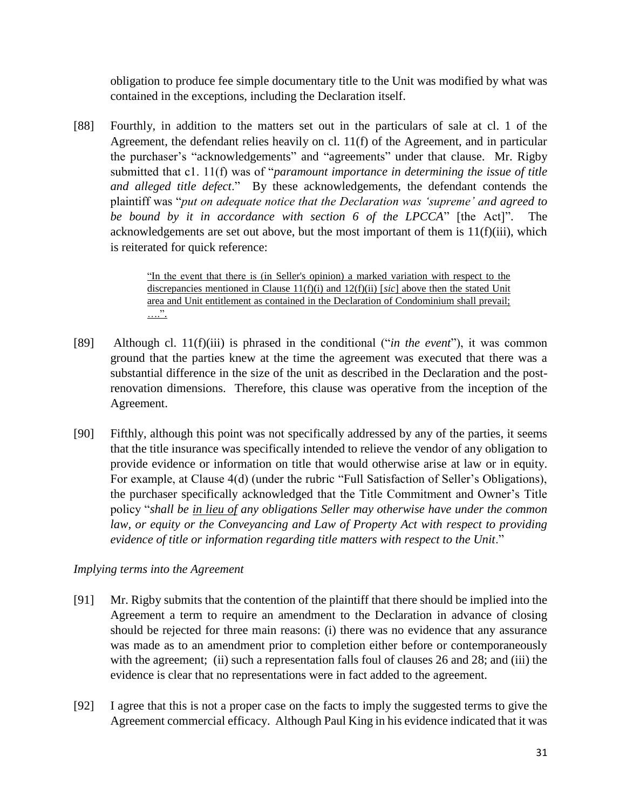obligation to produce fee simple documentary title to the Unit was modified by what was contained in the exceptions, including the Declaration itself.

[88] Fourthly, in addition to the matters set out in the particulars of sale at cl. 1 of the Agreement, the defendant relies heavily on cl. 11(f) of the Agreement, and in particular the purchaser's "acknowledgements" and "agreements" under that clause. Mr. Rigby submitted that c1. 11(f) was of "*paramount importance in determining the issue of title and alleged title defect*." By these acknowledgements, the defendant contends the plaintiff was "*put on adequate notice that the Declaration was 'supreme' and agreed to be bound by it in accordance with section 6 of the LPCCA*" [the Act]". The acknowledgements are set out above, but the most important of them is 11(f)(iii), which is reiterated for quick reference:

> "In the event that there is (in Seller's opinion) a marked variation with respect to the discrepancies mentioned in Clause 11(f)(i) and 12(f)(ii) [*sic*] above then the stated Unit area and Unit entitlement as contained in the Declaration of Condominium shall prevail; ….".

- [89] Although cl. 11(f)(iii) is phrased in the conditional ("*in the event*"), it was common ground that the parties knew at the time the agreement was executed that there was a substantial difference in the size of the unit as described in the Declaration and the postrenovation dimensions. Therefore, this clause was operative from the inception of the Agreement.
- [90] Fifthly, although this point was not specifically addressed by any of the parties, it seems that the title insurance was specifically intended to relieve the vendor of any obligation to provide evidence or information on title that would otherwise arise at law or in equity. For example, at Clause 4(d) (under the rubric "Full Satisfaction of Seller's Obligations), the purchaser specifically acknowledged that the Title Commitment and Owner's Title policy "*shall be in lieu of any obligations Seller may otherwise have under the common*  law, or equity or the Conveyancing and Law of Property Act with respect to providing *evidence of title or information regarding title matters with respect to the Unit*."

# *Implying terms into the Agreement*

- [91] Mr. Rigby submits that the contention of the plaintiff that there should be implied into the Agreement a term to require an amendment to the Declaration in advance of closing should be rejected for three main reasons: (i) there was no evidence that any assurance was made as to an amendment prior to completion either before or contemporaneously with the agreement; (ii) such a representation falls foul of clauses 26 and 28; and (iii) the evidence is clear that no representations were in fact added to the agreement.
- [92] I agree that this is not a proper case on the facts to imply the suggested terms to give the Agreement commercial efficacy. Although Paul King in his evidence indicated that it was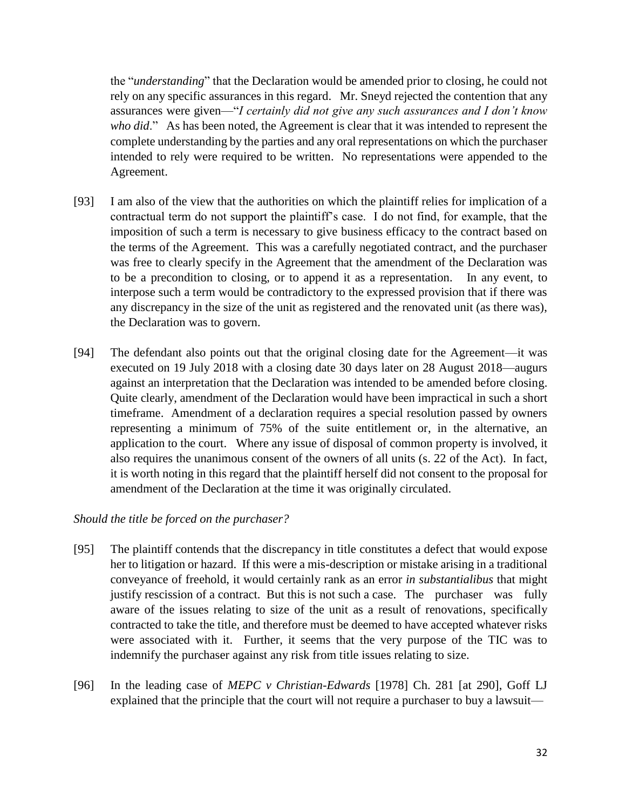the "*understanding*" that the Declaration would be amended prior to closing, he could not rely on any specific assurances in this regard. Mr. Sneyd rejected the contention that any assurances were given—"*I certainly did not give any such assurances and I don't know who did*." As has been noted, the Agreement is clear that it was intended to represent the complete understanding by the parties and any oral representations on which the purchaser intended to rely were required to be written. No representations were appended to the Agreement.

- [93] I am also of the view that the authorities on which the plaintiff relies for implication of a contractual term do not support the plaintiff's case. I do not find, for example, that the imposition of such a term is necessary to give business efficacy to the contract based on the terms of the Agreement. This was a carefully negotiated contract, and the purchaser was free to clearly specify in the Agreement that the amendment of the Declaration was to be a precondition to closing, or to append it as a representation. In any event, to interpose such a term would be contradictory to the expressed provision that if there was any discrepancy in the size of the unit as registered and the renovated unit (as there was), the Declaration was to govern.
- [94] The defendant also points out that the original closing date for the Agreement—it was executed on 19 July 2018 with a closing date 30 days later on 28 August 2018—augurs against an interpretation that the Declaration was intended to be amended before closing. Quite clearly, amendment of the Declaration would have been impractical in such a short timeframe. Amendment of a declaration requires a special resolution passed by owners representing a minimum of 75% of the suite entitlement or, in the alternative, an application to the court. Where any issue of disposal of common property is involved, it also requires the unanimous consent of the owners of all units (s. 22 of the Act). In fact, it is worth noting in this regard that the plaintiff herself did not consent to the proposal for amendment of the Declaration at the time it was originally circulated.

## *Should the title be forced on the purchaser?*

- [95] The plaintiff contends that the discrepancy in title constitutes a defect that would expose her to litigation or hazard. If this were a mis-description or mistake arising in a traditional conveyance of freehold, it would certainly rank as an error *in substantialibus* that might justify rescission of a contract. But this is not such a case. The purchaser was fully aware of the issues relating to size of the unit as a result of renovations, specifically contracted to take the title, and therefore must be deemed to have accepted whatever risks were associated with it. Further, it seems that the very purpose of the TIC was to indemnify the purchaser against any risk from title issues relating to size.
- [96] In the leading case of *MEPC v Christian-Edwards* [1978] Ch. 281 [at 290], Goff LJ explained that the principle that the court will not require a purchaser to buy a lawsuit—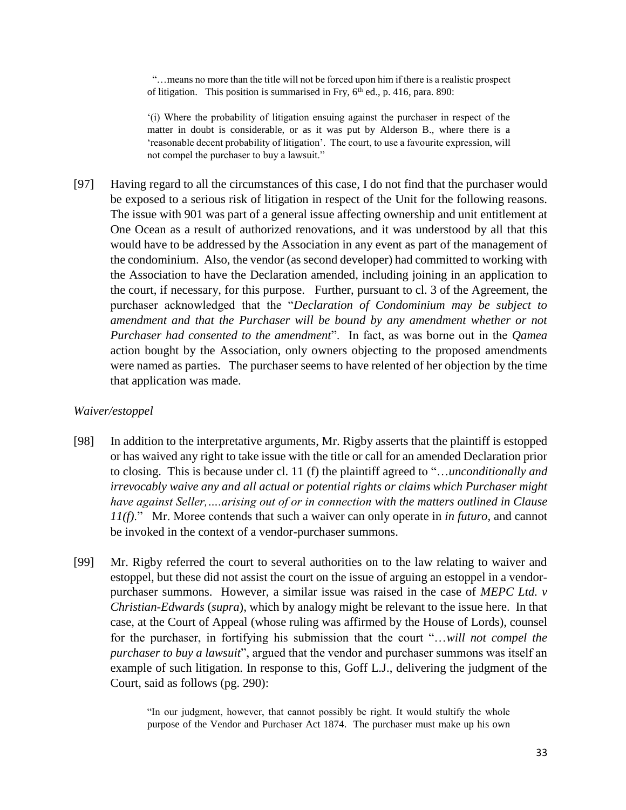"…means no more than the title will not be forced upon him if there is a realistic prospect of litigation. This position is summarised in Fry,  $6<sup>th</sup>$  ed., p. 416, para. 890:

'(i) Where the probability of litigation ensuing against the purchaser in respect of the matter in doubt is considerable, or as it was put by Alderson B., where there is a 'reasonable decent probability of litigation'. The court, to use a favourite expression, will not compel the purchaser to buy a lawsuit."

[97] Having regard to all the circumstances of this case, I do not find that the purchaser would be exposed to a serious risk of litigation in respect of the Unit for the following reasons. The issue with 901 was part of a general issue affecting ownership and unit entitlement at One Ocean as a result of authorized renovations, and it was understood by all that this would have to be addressed by the Association in any event as part of the management of the condominium. Also, the vendor (as second developer) had committed to working with the Association to have the Declaration amended, including joining in an application to the court, if necessary, for this purpose. Further, pursuant to cl. 3 of the Agreement, the purchaser acknowledged that the "*Declaration of Condominium may be subject to amendment and that the Purchaser will be bound by any amendment whether or not Purchaser had consented to the amendment*". In fact, as was borne out in the *Qamea* action bought by the Association, only owners objecting to the proposed amendments were named as parties. The purchaser seems to have relented of her objection by the time that application was made.

### *Waiver/estoppel*

- [98] In addition to the interpretative arguments, Mr. Rigby asserts that the plaintiff is estopped or has waived any right to take issue with the title or call for an amended Declaration prior to closing. This is because under cl. 11 (f) the plaintiff agreed to "…*unconditionally and irrevocably waive any and all actual or potential rights or claims which Purchaser might have against Seller,….arising out of or in connection with the matters outlined in Clause 11(f)*." Mr. Moree contends that such a waiver can only operate in *in futuro*, and cannot be invoked in the context of a vendor-purchaser summons.
- [99] Mr. Rigby referred the court to several authorities on to the law relating to waiver and estoppel, but these did not assist the court on the issue of arguing an estoppel in a vendorpurchaser summons. However, a similar issue was raised in the case of *MEPC Ltd. v Christian-Edwards* (*supra*), which by analogy might be relevant to the issue here. In that case, at the Court of Appeal (whose ruling was affirmed by the House of Lords), counsel for the purchaser, in fortifying his submission that the court "…*will not compel the purchaser to buy a lawsuit*", argued that the vendor and purchaser summons was itself an example of such litigation. In response to this, Goff L.J., delivering the judgment of the Court, said as follows (pg. 290):

"In our judgment, however, that cannot possibly be right. It would stultify the whole purpose of the Vendor and Purchaser Act 1874. The purchaser must make up his own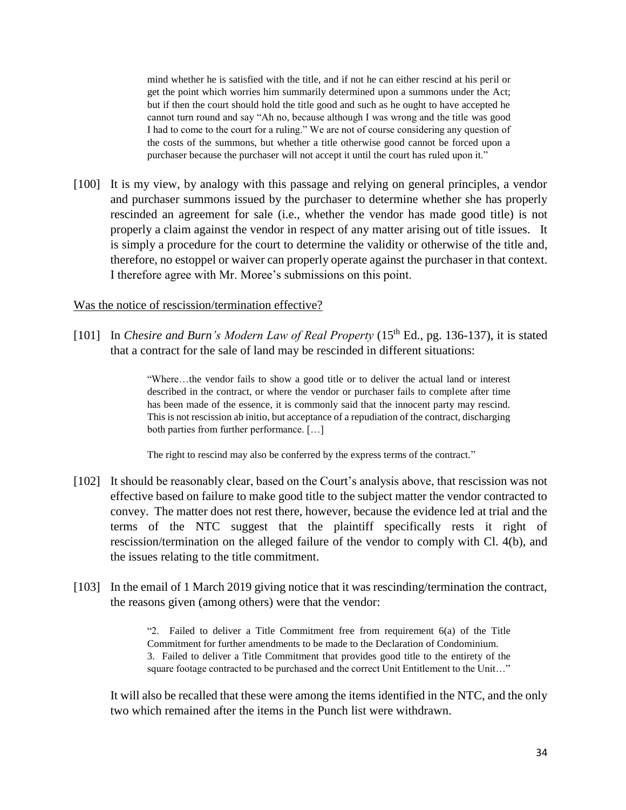mind whether he is satisfied with the title, and if not he can either rescind at his peril or get the point which worries him summarily determined upon a summons under the Act; but if then the court should hold the title good and such as he ought to have accepted he cannot turn round and say "Ah no, because although I was wrong and the title was good I had to come to the court for a ruling." We are not of course considering any question of the costs of the summons, but whether a title otherwise good cannot be forced upon a purchaser because the purchaser will not accept it until the court has ruled upon it."

[100] It is my view, by analogy with this passage and relying on general principles, a vendor and purchaser summons issued by the purchaser to determine whether she has properly rescinded an agreement for sale (i.e., whether the vendor has made good title) is not properly a claim against the vendor in respect of any matter arising out of title issues. It is simply a procedure for the court to determine the validity or otherwise of the title and, therefore, no estoppel or waiver can properly operate against the purchaser in that context. I therefore agree with Mr. Moree's submissions on this point.

### Was the notice of rescission/termination effective?

[101] In *Chesire and Burn's Modern Law of Real Property* (15<sup>th</sup> Ed., pg. 136-137), it is stated that a contract for the sale of land may be rescinded in different situations:

> "Where…the vendor fails to show a good title or to deliver the actual land or interest described in the contract, or where the vendor or purchaser fails to complete after time has been made of the essence, it is commonly said that the innocent party may rescind. This is not rescission ab initio, but acceptance of a repudiation of the contract, discharging both parties from further performance. […]

The right to rescind may also be conferred by the express terms of the contract."

- [102] It should be reasonably clear, based on the Court's analysis above, that rescission was not effective based on failure to make good title to the subject matter the vendor contracted to convey. The matter does not rest there, however, because the evidence led at trial and the terms of the NTC suggest that the plaintiff specifically rests it right of rescission/termination on the alleged failure of the vendor to comply with Cl. 4(b), and the issues relating to the title commitment.
- [103] In the email of 1 March 2019 giving notice that it was rescinding/termination the contract, the reasons given (among others) were that the vendor:

"2. Failed to deliver a Title Commitment free from requirement 6(a) of the Title Commitment for further amendments to be made to the Declaration of Condominium. 3. Failed to deliver a Title Commitment that provides good title to the entirety of the square footage contracted to be purchased and the correct Unit Entitlement to the Unit…"

It will also be recalled that these were among the items identified in the NTC, and the only two which remained after the items in the Punch list were withdrawn.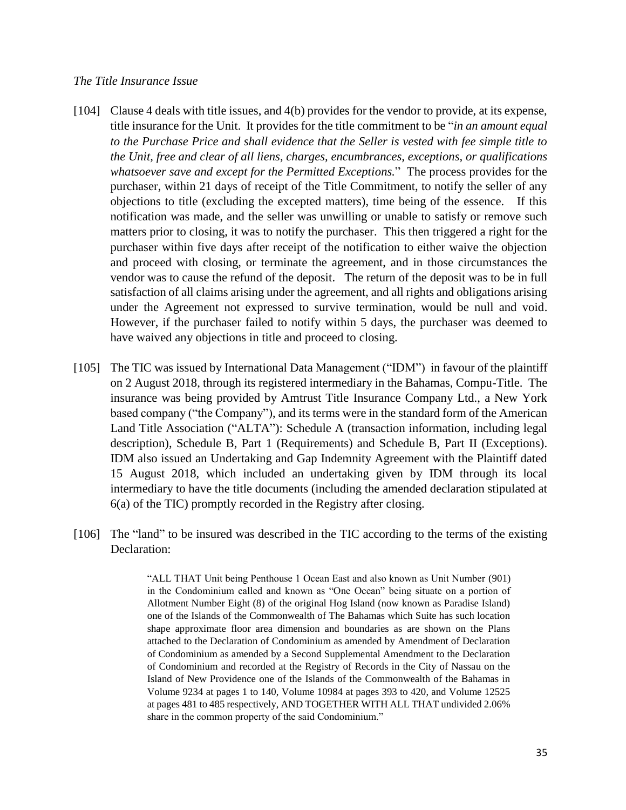### *The Title Insurance Issue*

- [104] Clause 4 deals with title issues, and 4(b) provides for the vendor to provide, at its expense, title insurance for the Unit. It provides for the title commitment to be "*in an amount equal to the Purchase Price and shall evidence that the Seller is vested with fee simple title to the Unit, free and clear of all liens, charges, encumbrances, exceptions, or qualifications whatsoever save and except for the Permitted Exceptions.*" The process provides for the purchaser, within 21 days of receipt of the Title Commitment, to notify the seller of any objections to title (excluding the excepted matters), time being of the essence. If this notification was made, and the seller was unwilling or unable to satisfy or remove such matters prior to closing, it was to notify the purchaser. This then triggered a right for the purchaser within five days after receipt of the notification to either waive the objection and proceed with closing, or terminate the agreement, and in those circumstances the vendor was to cause the refund of the deposit. The return of the deposit was to be in full satisfaction of all claims arising under the agreement, and all rights and obligations arising under the Agreement not expressed to survive termination, would be null and void. However, if the purchaser failed to notify within 5 days, the purchaser was deemed to have waived any objections in title and proceed to closing.
- [105] The TIC was issued by International Data Management ("IDM") in favour of the plaintiff on 2 August 2018, through its registered intermediary in the Bahamas, Compu-Title. The insurance was being provided by Amtrust Title Insurance Company Ltd., a New York based company ("the Company"), and its terms were in the standard form of the American Land Title Association ("ALTA"): Schedule A (transaction information, including legal description), Schedule B, Part 1 (Requirements) and Schedule B, Part II (Exceptions). IDM also issued an Undertaking and Gap Indemnity Agreement with the Plaintiff dated 15 August 2018, which included an undertaking given by IDM through its local intermediary to have the title documents (including the amended declaration stipulated at 6(a) of the TIC) promptly recorded in the Registry after closing.
- [106] The "land" to be insured was described in the TIC according to the terms of the existing Declaration:

"ALL THAT Unit being Penthouse 1 Ocean East and also known as Unit Number (901) in the Condominium called and known as "One Ocean" being situate on a portion of Allotment Number Eight (8) of the original Hog Island (now known as Paradise Island) one of the Islands of the Commonwealth of The Bahamas which Suite has such location shape approximate floor area dimension and boundaries as are shown on the Plans attached to the Declaration of Condominium as amended by Amendment of Declaration of Condominium as amended by a Second Supplemental Amendment to the Declaration of Condominium and recorded at the Registry of Records in the City of Nassau on the Island of New Providence one of the Islands of the Commonwealth of the Bahamas in Volume 9234 at pages 1 to 140, Volume 10984 at pages 393 to 420, and Volume 12525 at pages 481 to 485 respectively, AND TOGETHER WITH ALL THAT undivided 2.06% share in the common property of the said Condominium."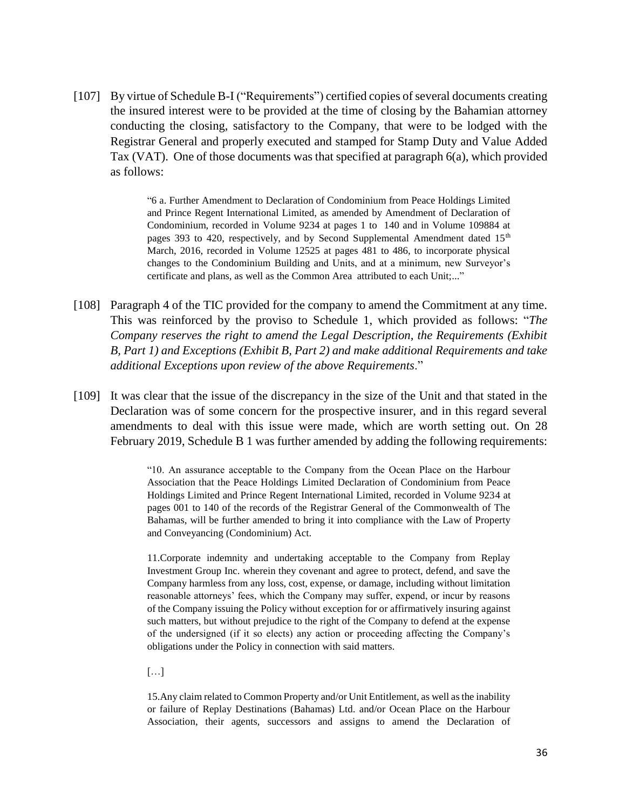[107] By virtue of Schedule B-I ("Requirements") certified copies of several documents creating the insured interest were to be provided at the time of closing by the Bahamian attorney conducting the closing, satisfactory to the Company, that were to be lodged with the Registrar General and properly executed and stamped for Stamp Duty and Value Added Tax (VAT). One of those documents was that specified at paragraph 6(a), which provided as follows:

> "6 a. Further Amendment to Declaration of Condominium from Peace Holdings Limited and Prince Regent International Limited, as amended by Amendment of Declaration of Condominium, recorded in Volume 9234 at pages 1 to 140 and in Volume 109884 at pages 393 to 420, respectively, and by Second Supplemental Amendment dated  $15<sup>th</sup>$ March, 2016, recorded in Volume 12525 at pages 481 to 486, to incorporate physical changes to the Condominium Building and Units, and at a minimum, new Surveyor's certificate and plans, as well as the Common Area attributed to each Unit;..."

- [108] Paragraph 4 of the TIC provided for the company to amend the Commitment at any time. This was reinforced by the proviso to Schedule 1, which provided as follows: "*The Company reserves the right to amend the Legal Description, the Requirements (Exhibit B, Part 1) and Exceptions (Exhibit B, Part 2) and make additional Requirements and take additional Exceptions upon review of the above Requirements*."
- [109] It was clear that the issue of the discrepancy in the size of the Unit and that stated in the Declaration was of some concern for the prospective insurer, and in this regard several amendments to deal with this issue were made, which are worth setting out. On 28 February 2019, Schedule B 1 was further amended by adding the following requirements:

"10. An assurance acceptable to the Company from the Ocean Place on the Harbour Association that the Peace Holdings Limited Declaration of Condominium from Peace Holdings Limited and Prince Regent International Limited, recorded in Volume 9234 at pages 001 to 140 of the records of the Registrar General of the Commonwealth of The Bahamas, will be further amended to bring it into compliance with the Law of Property and Conveyancing (Condominium) Act.

11.Corporate indemnity and undertaking acceptable to the Company from Replay Investment Group Inc. wherein they covenant and agree to protect, defend, and save the Company harmless from any loss, cost, expense, or damage, including without limitation reasonable attorneys' fees, which the Company may suffer, expend, or incur by reasons of the Company issuing the Policy without exception for or affirmatively insuring against such matters, but without prejudice to the right of the Company to defend at the expense of the undersigned (if it so elects) any action or proceeding affecting the Company's obligations under the Policy in connection with said matters.

[…]

15.Any claim related to Common Property and/or Unit Entitlement, as well as the inability or failure of Replay Destinations (Bahamas) Ltd. and/or Ocean Place on the Harbour Association, their agents, successors and assigns to amend the Declaration of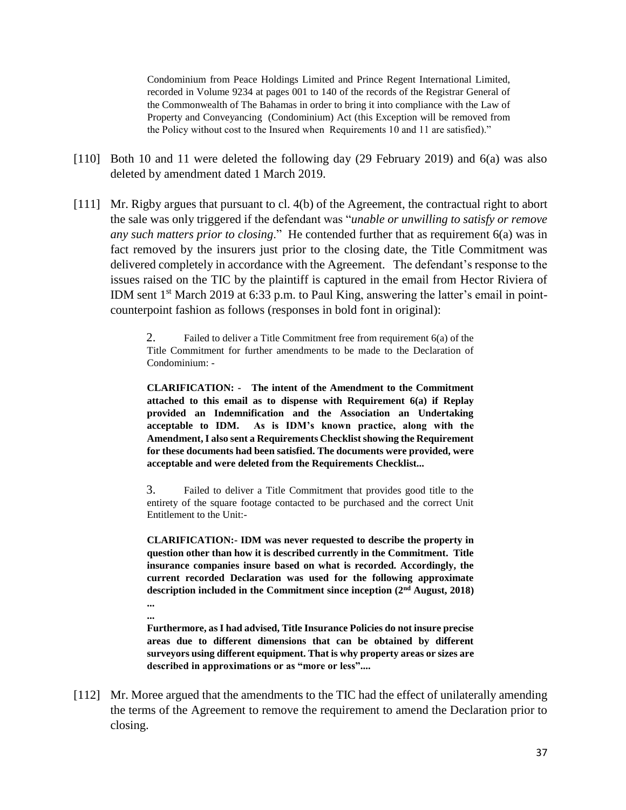Condominium from Peace Holdings Limited and Prince Regent International Limited, recorded in Volume 9234 at pages 001 to 140 of the records of the Registrar General of the Commonwealth of The Bahamas in order to bring it into compliance with the Law of Property and Conveyancing (Condominium) Act (this Exception will be removed from the Policy without cost to the Insured when Requirements 10 and 11 are satisfied)."

- [110] Both 10 and 11 were deleted the following day (29 February 2019) and 6(a) was also deleted by amendment dated 1 March 2019.
- [111] Mr. Rigby argues that pursuant to cl. 4(b) of the Agreement, the contractual right to abort the sale was only triggered if the defendant was "*unable or unwilling to satisfy or remove any such matters prior to closing*." He contended further that as requirement 6(a) was in fact removed by the insurers just prior to the closing date, the Title Commitment was delivered completely in accordance with the Agreement. The defendant's response to the issues raised on the TIC by the plaintiff is captured in the email from Hector Riviera of IDM sent  $1<sup>st</sup>$  March 2019 at 6:33 p.m. to Paul King, answering the latter's email in pointcounterpoint fashion as follows (responses in bold font in original):

2. Failed to deliver a Title Commitment free from requirement 6(a) of the Title Commitment for further amendments to be made to the Declaration of Condominium: -

**CLARIFICATION: - The intent of the Amendment to the Commitment attached to this email as to dispense with Requirement 6(a) if Replay provided an Indemnification and the Association an Undertaking acceptable to IDM. As is IDM's known practice, along with the Amendment, I also sent a Requirements Checklist showing the Requirement for these documents had been satisfied. The documents were provided, were acceptable and were deleted from the Requirements Checklist...** 

3. Failed to deliver a Title Commitment that provides good title to the entirety of the square footage contacted to be purchased and the correct Unit Entitlement to the Unit:-

**CLARIFICATION:- IDM was never requested to describe the property in question other than how it is described currently in the Commitment. Title insurance companies insure based on what is recorded. Accordingly, the current recorded Declaration was used for the following approximate description included in the Commitment since inception (2nd August, 2018) ...** 

**...** 

**Furthermore, as I had advised, Title Insurance Policies do not insure precise areas due to different dimensions that can be obtained by different surveyors using different equipment. That is why property areas or sizes are described in approximations or as "more or less"....**

[112] Mr. Moree argued that the amendments to the TIC had the effect of unilaterally amending the terms of the Agreement to remove the requirement to amend the Declaration prior to closing.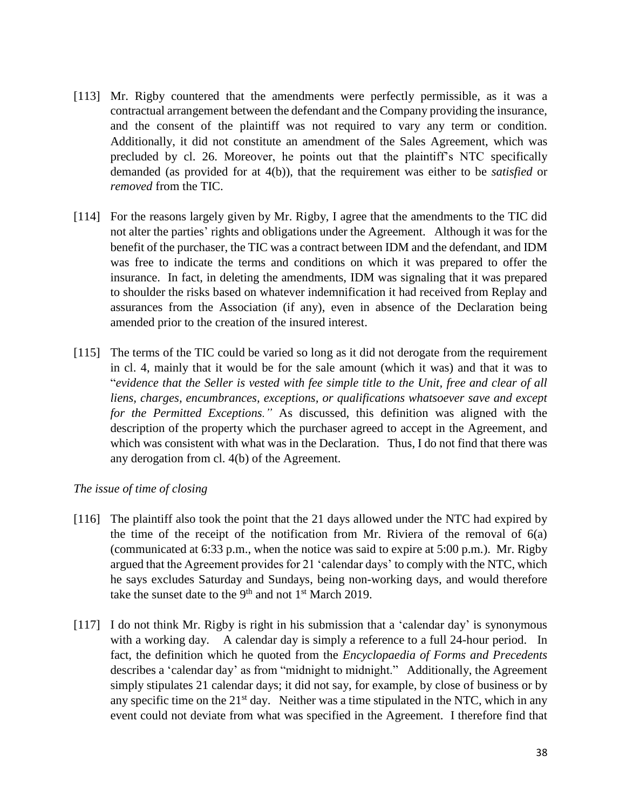- [113] Mr. Rigby countered that the amendments were perfectly permissible, as it was a contractual arrangement between the defendant and the Company providing the insurance, and the consent of the plaintiff was not required to vary any term or condition. Additionally, it did not constitute an amendment of the Sales Agreement, which was precluded by cl. 26. Moreover, he points out that the plaintiff's NTC specifically demanded (as provided for at 4(b)), that the requirement was either to be *satisfied* or *removed* from the TIC.
- [114] For the reasons largely given by Mr. Rigby, I agree that the amendments to the TIC did not alter the parties' rights and obligations under the Agreement. Although it was for the benefit of the purchaser, the TIC was a contract between IDM and the defendant, and IDM was free to indicate the terms and conditions on which it was prepared to offer the insurance. In fact, in deleting the amendments, IDM was signaling that it was prepared to shoulder the risks based on whatever indemnification it had received from Replay and assurances from the Association (if any), even in absence of the Declaration being amended prior to the creation of the insured interest.
- [115] The terms of the TIC could be varied so long as it did not derogate from the requirement in cl. 4, mainly that it would be for the sale amount (which it was) and that it was to "*evidence that the Seller is vested with fee simple title to the Unit, free and clear of all liens, charges, encumbrances, exceptions, or qualifications whatsoever save and except for the Permitted Exceptions."* As discussed, this definition was aligned with the description of the property which the purchaser agreed to accept in the Agreement, and which was consistent with what was in the Declaration. Thus, I do not find that there was any derogation from cl. 4(b) of the Agreement.

## *The issue of time of closing*

- [116] The plaintiff also took the point that the 21 days allowed under the NTC had expired by the time of the receipt of the notification from Mr. Riviera of the removal of  $6(a)$ (communicated at 6:33 p.m., when the notice was said to expire at 5:00 p.m.). Mr. Rigby argued that the Agreement provides for 21 'calendar days' to comply with the NTC, which he says excludes Saturday and Sundays, being non-working days, and would therefore take the sunset date to the  $9<sup>th</sup>$  and not  $1<sup>st</sup>$  March 2019.
- [117] I do not think Mr. Rigby is right in his submission that a 'calendar day' is synonymous with a working day. A calendar day is simply a reference to a full 24-hour period. In fact, the definition which he quoted from the *Encyclopaedia of Forms and Precedents* describes a 'calendar day' as from "midnight to midnight." Additionally, the Agreement simply stipulates 21 calendar days; it did not say, for example, by close of business or by any specific time on the  $21<sup>st</sup>$  day. Neither was a time stipulated in the NTC, which in any event could not deviate from what was specified in the Agreement. I therefore find that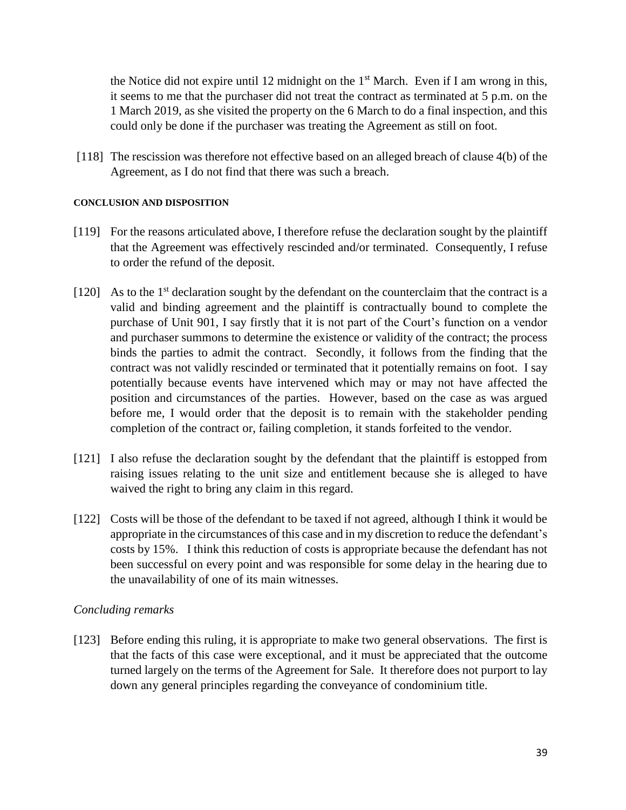the Notice did not expire until 12 midnight on the  $1<sup>st</sup>$  March. Even if I am wrong in this, it seems to me that the purchaser did not treat the contract as terminated at 5 p.m. on the 1 March 2019, as she visited the property on the 6 March to do a final inspection, and this could only be done if the purchaser was treating the Agreement as still on foot.

[118] The rescission was therefore not effective based on an alleged breach of clause 4(b) of the Agreement, as I do not find that there was such a breach.

## **CONCLUSION AND DISPOSITION**

- [119] For the reasons articulated above, I therefore refuse the declaration sought by the plaintiff that the Agreement was effectively rescinded and/or terminated. Consequently, I refuse to order the refund of the deposit.
- $[120]$  As to the 1<sup>st</sup> declaration sought by the defendant on the counterclaim that the contract is a valid and binding agreement and the plaintiff is contractually bound to complete the purchase of Unit 901, I say firstly that it is not part of the Court's function on a vendor and purchaser summons to determine the existence or validity of the contract; the process binds the parties to admit the contract. Secondly, it follows from the finding that the contract was not validly rescinded or terminated that it potentially remains on foot. I say potentially because events have intervened which may or may not have affected the position and circumstances of the parties. However, based on the case as was argued before me, I would order that the deposit is to remain with the stakeholder pending completion of the contract or, failing completion, it stands forfeited to the vendor.
- [121] I also refuse the declaration sought by the defendant that the plaintiff is estopped from raising issues relating to the unit size and entitlement because she is alleged to have waived the right to bring any claim in this regard.
- [122] Costs will be those of the defendant to be taxed if not agreed, although I think it would be appropriate in the circumstances of this case and in my discretion to reduce the defendant's costs by 15%. I think this reduction of costs is appropriate because the defendant has not been successful on every point and was responsible for some delay in the hearing due to the unavailability of one of its main witnesses.

## *Concluding remarks*

[123] Before ending this ruling, it is appropriate to make two general observations. The first is that the facts of this case were exceptional, and it must be appreciated that the outcome turned largely on the terms of the Agreement for Sale. It therefore does not purport to lay down any general principles regarding the conveyance of condominium title.